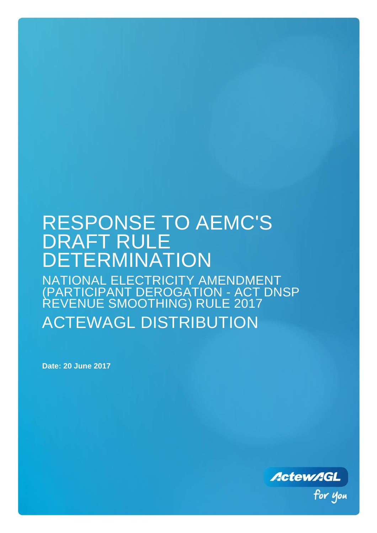# RESPONSE TO AEMC'S DRAFT RULE DETERMINATION NATIONAL ELECTRICITY AMENDMENT (PARTICIPANT DEROGATION - ACT DNSP REVENUE SMOOTHING) RULE 2017 ACTEWAGL DISTRIBUTION

**Date: 20 June 2017**

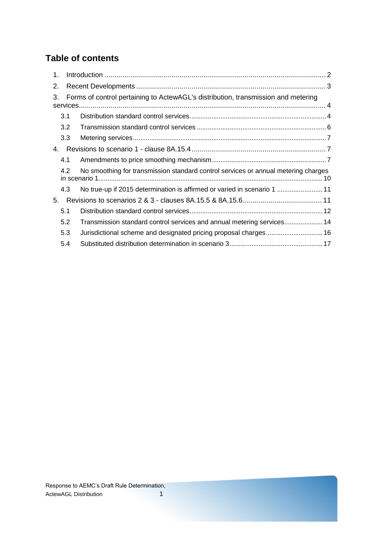# **Table of contents**

| $1_{-}$                                                                                 |     |                                                                                    |  |  |  |
|-----------------------------------------------------------------------------------------|-----|------------------------------------------------------------------------------------|--|--|--|
| 2.                                                                                      |     |                                                                                    |  |  |  |
| Forms of control pertaining to ActewAGL's distribution, transmission and metering<br>3. |     |                                                                                    |  |  |  |
|                                                                                         | 3.1 |                                                                                    |  |  |  |
|                                                                                         | 3.2 |                                                                                    |  |  |  |
|                                                                                         | 3.3 |                                                                                    |  |  |  |
| 4.                                                                                      |     |                                                                                    |  |  |  |
|                                                                                         | 4.1 |                                                                                    |  |  |  |
|                                                                                         | 4.2 | No smoothing for transmission standard control services or annual metering charges |  |  |  |
|                                                                                         | 4.3 | No true-up if 2015 determination is affirmed or varied in scenario 1  11           |  |  |  |
| 5.                                                                                      |     |                                                                                    |  |  |  |
|                                                                                         | 5.1 |                                                                                    |  |  |  |
|                                                                                         | 5.2 | Transmission standard control services and annual metering services 14             |  |  |  |
|                                                                                         | 5.3 | Jurisdictional scheme and designated pricing proposal charges 16                   |  |  |  |
|                                                                                         | 5.4 |                                                                                    |  |  |  |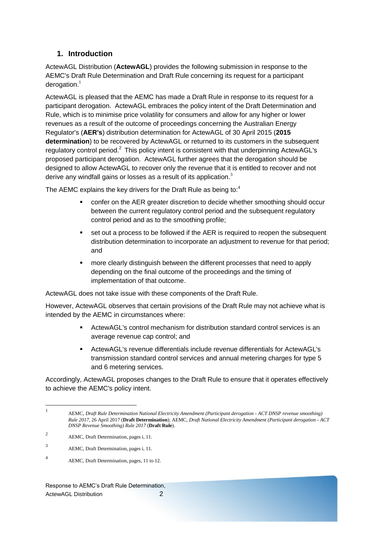# <span id="page-2-0"></span>**1. Introduction**

ActewAGL Distribution (**ActewAGL**) provides the following submission in response to the AEMC's Draft Rule Determination and Draft Rule concerning its request for a participant derogation. $<sup>1</sup>$ </sup>

ActewAGL is pleased that the AEMC has made a Draft Rule in response to its request for a participant derogation. ActewAGL embraces the policy intent of the Draft Determination and Rule, which is to minimise price volatility for consumers and allow for any higher or lower revenues as a result of the outcome of proceedings concerning the Australian Energy Regulator's (**AER's**) distribution determination for ActewAGL of 30 April 2015 (**2015 determination**) to be recovered by ActewAGL or returned to its customers in the subsequent regulatory control period.<sup>2</sup> This policy intent is consistent with that underpinning ActewAGL's proposed participant derogation. ActewAGL further agrees that the derogation should be designed to allow ActewAGL to recover only the revenue that it is entitled to recover and not derive any windfall gains or losses as a result of its application. $3$ 

The AEMC explains the key drivers for the Draft Rule as being to: $4$ 

- confer on the AER greater discretion to decide whether smoothing should occur between the current regulatory control period and the subsequent regulatory control period and as to the smoothing profile;
- set out a process to be followed if the AER is required to reopen the subsequent distribution determination to incorporate an adjustment to revenue for that period; and
- more clearly distinguish between the different processes that need to apply depending on the final outcome of the proceedings and the timing of implementation of that outcome.

ActewAGL does not take issue with these components of the Draft Rule.

However, ActewAGL observes that certain provisions of the Draft Rule may not achieve what is intended by the AEMC in circumstances where:

- ActewAGL's control mechanism for distribution standard control services is an average revenue cap control; and
- ActewAGL's revenue differentials include revenue differentials for ActewAGL's transmission standard control services and annual metering charges for type 5 and 6 metering services.

Accordingly, ActewAGL proposes changes to the Draft Rule to ensure that it operates effectively to achieve the AEMC's policy intent.

 $\frac{1}{1}$ AEMC, *Draft Rule Determination National Electricity Amendment (Participant derogation - ACT DNSP revenue smoothing) Rule 2017*, 26 April 2017 (**Draft Determination**); AEMC, *Draft National Electricity Amendment (Participant derogation - ACT DNSP Revenue Smoothing) Rule 2017* (**Draft Rule**).

<sup>2</sup> AEMC, Draft Determination, pages i, 11.

<sup>3</sup> AEMC, Draft Determination, pages i, 11.

<sup>4</sup> AEMC, Draft Determination, pages, 11 to 12.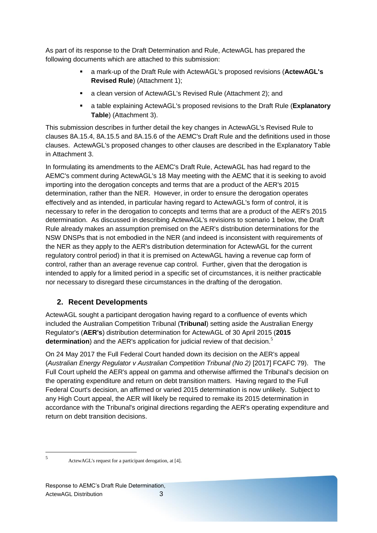As part of its response to the Draft Determination and Rule, ActewAGL has prepared the following documents which are attached to this submission:

- a mark-up of the Draft Rule with ActewAGL's proposed revisions (**ActewAGL's Revised Rule**) (Attachment 1);
- a clean version of ActewAGL's Revised Rule (Attachment 2); and
- a table explaining ActewAGL's proposed revisions to the Draft Rule (**Explanatory Table**) (Attachment 3).

This submission describes in further detail the key changes in ActewAGL's Revised Rule to clauses 8A.15.4, 8A.15.5 and 8A.15.6 of the AEMC's Draft Rule and the definitions used in those clauses. ActewAGL's proposed changes to other clauses are described in the Explanatory Table in Attachment 3.

In formulating its amendments to the AEMC's Draft Rule, ActewAGL has had regard to the AEMC's comment during ActewAGL's 18 May meeting with the AEMC that it is seeking to avoid importing into the derogation concepts and terms that are a product of the AER's 2015 determination, rather than the NER. However, in order to ensure the derogation operates effectively and as intended, in particular having regard to ActewAGL's form of control, it is necessary to refer in the derogation to concepts and terms that are a product of the AER's 2015 determination. As discussed in describing ActewAGL's revisions to scenario 1 below, the Draft Rule already makes an assumption premised on the AER's distribution determinations for the NSW DNSPs that is not embodied in the NER (and indeed is inconsistent with requirements of the NER as they apply to the AER's distribution determination for ActewAGL for the current regulatory control period) in that it is premised on ActewAGL having a revenue cap form of control, rather than an average revenue cap control. Further, given that the derogation is intended to apply for a limited period in a specific set of circumstances, it is neither practicable nor necessary to disregard these circumstances in the drafting of the derogation.

# <span id="page-3-0"></span>**2. Recent Developments**

ActewAGL sought a participant derogation having regard to a confluence of events which included the Australian Competition Tribunal (**Tribunal**) setting aside the Australian Energy Regulator's (**AER's**) distribution determination for ActewAGL of 30 April 2015 (**2015**  determination) and the AER's application for judicial review of that decision.<sup>5</sup>

On 24 May 2017 the Full Federal Court handed down its decision on the AER's appeal (*Australian Energy Regulator v Australian Competition Tribunal (No 2)* [2017] FCAFC 79). The Full Court upheld the AER's appeal on gamma and otherwise affirmed the Tribunal's decision on the operating expenditure and return on debt transition matters. Having regard to the Full Federal Court's decision, an affirmed or varied 2015 determination is now unlikely. Subject to any High Court appeal, the AER will likely be required to remake its 2015 determination in accordance with the Tribunal's original directions regarding the AER's operating expenditure and return on debt transition decisions.

 $\frac{1}{5}$ 

ActewAGL's request for a participant derogation, at [4].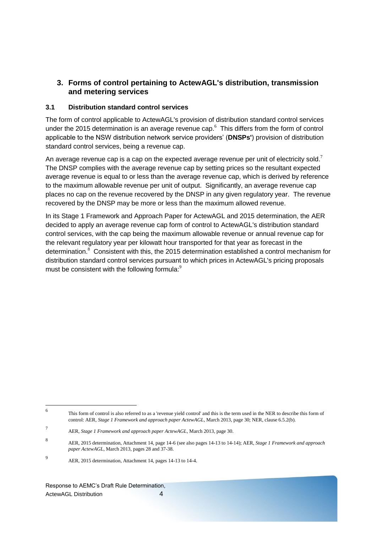# <span id="page-4-0"></span>**3. Forms of control pertaining to ActewAGL's distribution, transmission and metering services**

### <span id="page-4-1"></span>**3.1 Distribution standard control services**

The form of control applicable to ActewAGL's provision of distribution standard control services under the 2015 determination is an average revenue cap. $6\,$  This differs from the form of control applicable to the NSW distribution network service providers' (**DNSPs'**) provision of distribution standard control services, being a revenue cap.

An average revenue cap is a cap on the expected average revenue per unit of electricity sold.<sup>7</sup> The DNSP complies with the average revenue cap by setting prices so the resultant expected average revenue is equal to or less than the average revenue cap, which is derived by reference to the maximum allowable revenue per unit of output. Significantly, an average revenue cap places no cap on the revenue recovered by the DNSP in any given regulatory year. The revenue recovered by the DNSP may be more or less than the maximum allowed revenue.

In its Stage 1 Framework and Approach Paper for ActewAGL and 2015 determination, the AER decided to apply an average revenue cap form of control to ActewAGL's distribution standard control services, with the cap being the maximum allowable revenue or annual revenue cap for the relevant regulatory year per kilowatt hour transported for that year as forecast in the determination.<sup>8</sup> Consistent with this, the 2015 determination established a control mechanism for distribution standard control services pursuant to which prices in ActewAGL's pricing proposals must be consistent with the following formula:<sup>9</sup>

Response to AEMC's Draft Rule Determination, ActewAGL Distribution 4

 $\frac{1}{6}$ This form of control is also referred to as a 'revenue yield control' and this is the term used in the NER to describe this form of control: AER, *Stage 1 Framework and approach paper ActewAGL*, March 2013, page 30; NER, clause 6.5.2(b).

<sup>7</sup> AER, *Stage 1 Framework and approach paper ActewAGL*, March 2013, page 30.

<sup>8</sup> AER, 2015 determination, Attachment 14, page 14-6 (see also pages 14-13 to 14-14); AER, *Stage 1 Framework and approach paper ActewAGL*, March 2013, pages 28 and 37-38.

<sup>9</sup> AER, 2015 determination, Attachment 14, pages 14-13 to 14-4.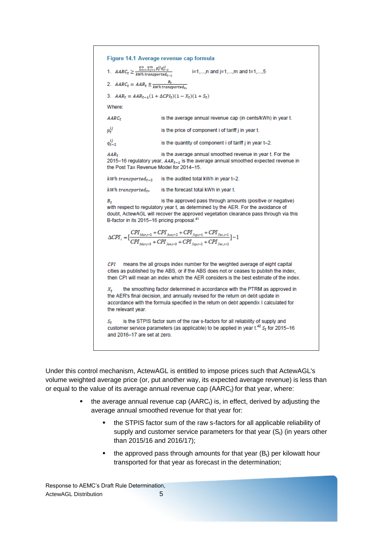Figure 14.1 Average revenue cap formula 1.  $AARC_t \geq \frac{\sum_{i=1}^{n} \sum_{j=1}^{m} p_t^{ij} q_{t-2}^{ij}}{kWh\ transported_{t-2}}$ i=1,...,n and j=1,...,m and t=1,...,5 2.  $AARC_t = AAR_t \pm \frac{B_t}{kWh\,transported_{ts}}$ 3.  $AAR_t = AAR_{t-1}(1 + \Delta CPI_t)(1 - X_t)(1 + S_t)$ Where:  $AARC<sub>r</sub>$ is the average annual revenue cap (in cents/kWh) in year t.  $p^{ij}_*$ is the price of component i of tariff j in year t.  $q_{\tau-2}^{ij}$ is the quantity of component i of tariff j in year t-2.  $AAR+$ is the average annual smoothed revenue in year t. For the 2015-16 regulatory year,  $AAR_{t-1}$  is the average annual smoothed expected revenue in the Post Tax Revenue Model for 2014-15.  $kWh$  transported<sub>t-2</sub> is the audited total kWh in year t-2. kWh transported<sub>t</sub>. is the forecast total kWh in year t. is the approved pass through amounts (positive or negative) в. with respect to regulatory year t, as determined by the AER. For the avoidance of doubt, ActewAGL will recover the approved vegetation clearance pass through via this B-factor in its 2015-16 pricing proposal.<sup>41</sup>  $\Delta {\cal C\!PI}_t = \big[\frac{CPI_{\tiny{Mar,t-2}}+CPI_{\tiny{Jun,t-2}}+CPI_{\tiny{Sep,t-1}}+CPI_{\tiny{Dec,t-1}}}{CPI_{\tiny{Mar,t-3}}+CPI_{\tiny{Jun,t-3}}+CPI_{\tiny{Sep,t-2}}+CPI_{\tiny{Dec,t-2}}}\big] - 1$ CPI means the all groups index number for the weighted average of eight capital cities as published by the ABS, or if the ABS does not or ceases to publish the index, then CPI will mean an index which the AER considers is the best estimate of the index. the smoothing factor determined in accordance with the PTRM as approved in  $X_{\star}$ the AER's final decision, and annually revised for the return on debt update in accordance with the formula specified in the return on debt appendix I calculated for the relevant year. is the STPIS factor sum of the raw s-factors for all reliability of supply and  $S_{t}$ customer service parameters (as applicable) to be applied in year  $t^{42}$  S<sub>t</sub> for 2015-16 and 2016-17 are set at zero.

Under this control mechanism, ActewAGL is entitled to impose prices such that ActewAGL's volume weighted average price (or, put another way, its expected average revenue) is less than or equal to the value of its average annual revenue cap  $(AARC<sub>t</sub>)$  for that year, where:

- the average annual revenue cap  $(AARC_t)$  is, in effect, derived by adjusting the average annual smoothed revenue for that year for:
	- the STPIS factor sum of the raw s-factors for all applicable reliability of supply and customer service parameters for that year  $(S_t)$  (in years other than 2015/16 and 2016/17);
	- the approved pass through amounts for that year  $(B_t)$  per kilowatt hour transported for that year as forecast in the determination;

Response to AEMC's Draft Rule Determination, ActewAGL Distribution 5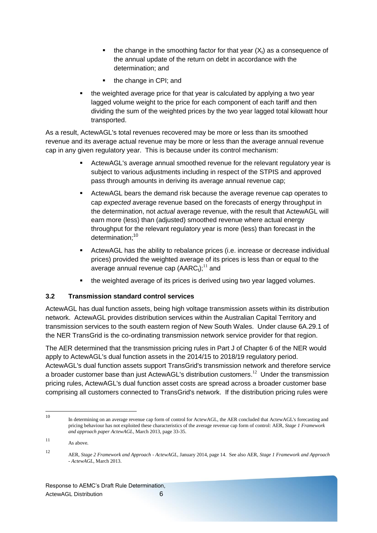- the change in the smoothing factor for that year  $(X_t)$  as a consequence of the annual update of the return on debt in accordance with the determination; and
- the change in CPI; and
- the weighted average price for that year is calculated by applying a two year lagged volume weight to the price for each component of each tariff and then dividing the sum of the weighted prices by the two year lagged total kilowatt hour transported.

As a result, ActewAGL's total revenues recovered may be more or less than its smoothed revenue and its average actual revenue may be more or less than the average annual revenue cap in any given regulatory year. This is because under its control mechanism:

- ActewAGL's average annual smoothed revenue for the relevant regulatory year is subject to various adjustments including in respect of the STPIS and approved pass through amounts in deriving its average annual revenue cap;
- ActewAGL bears the demand risk because the average revenue cap operates to cap *expected* average revenue based on the forecasts of energy throughput in the determination, not *actual* average revenue, with the result that ActewAGL will earn more (less) than (adjusted) smoothed revenue where actual energy throughput for the relevant regulatory year is more (less) than forecast in the determination:<sup>10</sup>
- ActewAGL has the ability to rebalance prices (i.e. increase or decrease individual prices) provided the weighted average of its prices is less than or equal to the average annual revenue cap  $(AARC<sub>t</sub>)$ ;<sup>11</sup> and
- the weighted average of its prices is derived using two year lagged volumes.

### <span id="page-6-0"></span>**3.2 Transmission standard control services**

ActewAGL has dual function assets, being high voltage transmission assets within its distribution network. ActewAGL provides distribution services within the Australian Capital Territory and transmission services to the south eastern region of New South Wales. Under clause 6A.29.1 of the NER TransGrid is the co-ordinating transmission network service provider for that region.

The AER determined that the transmission pricing rules in Part J of Chapter 6 of the NER would apply to ActewAGL's dual function assets in the 2014/15 to 2018/19 regulatory period. ActewAGL's dual function assets support TransGrid's transmission network and therefore service a broader customer base than just ActewAGL's distribution customers.<sup>12</sup> Under the transmission pricing rules, ActewAGL's dual function asset costs are spread across a broader customer base comprising all customers connected to TransGrid's network. If the distribution pricing rules were

 $10<sup>10</sup>$ <sup>10</sup> In determining on an average revenue cap form of control for ActewAGL, the AER concluded that ActewAGL's forecasting and pricing behaviour has not exploited these characteristics of the average revenue cap form of control: AER, *Stage 1 Framework and approach paper ActewAGL*, March 2013, page 33-35.

<sup>11</sup> As above.

<sup>12</sup> AER, *Stage 2 Framework and Approach - ActewAGL*, January 2014, page 14. See also AER, *Stage 1 Framework and Approach - ActewAGL*, March 2013.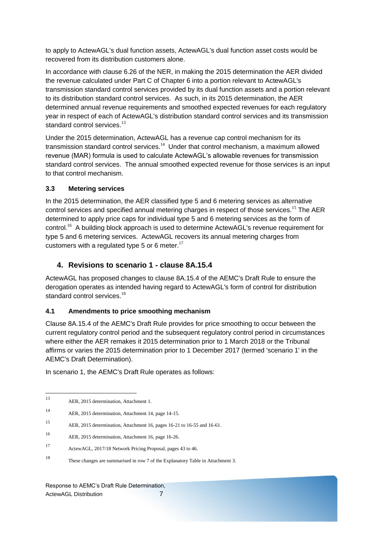to apply to ActewAGL's dual function assets, ActewAGL's dual function asset costs would be recovered from its distribution customers alone.

In accordance with clause 6.26 of the NER, in making the 2015 determination the AER divided the revenue calculated under Part C of Chapter 6 into a portion relevant to ActewAGL's transmission standard control services provided by its dual function assets and a portion relevant to its distribution standard control services. As such, in its 2015 determination, the AER determined annual revenue requirements and smoothed expected revenues for each regulatory year in respect of each of ActewAGL's distribution standard control services and its transmission standard control services.<sup>13</sup>

Under the 2015 determination, ActewAGL has a revenue cap control mechanism for its transmission standard control services.<sup>14</sup> Under that control mechanism, a maximum allowed revenue (MAR) formula is used to calculate ActewAGL's allowable revenues for transmission standard control services. The annual smoothed expected revenue for those services is an input to that control mechanism.

### <span id="page-7-0"></span>**3.3 Metering services**

In the 2015 determination, the AER classified type 5 and 6 metering services as alternative control services and specified annual metering charges in respect of those services.<sup>15</sup> The AER determined to apply price caps for individual type 5 and 6 metering services as the form of control.<sup>16</sup> A building block approach is used to determine ActewAGL's revenue requirement for type 5 and 6 metering services. ActewAGL recovers its annual metering charges from customers with a regulated type 5 or 6 meter.<sup>17</sup>

# <span id="page-7-1"></span>**4. Revisions to scenario 1 - clause 8A.15.4**

ActewAGL has proposed changes to clause 8A.15.4 of the AEMC's Draft Rule to ensure the derogation operates as intended having regard to ActewAGL's form of control for distribution standard control services.<sup>18</sup>

### <span id="page-7-2"></span>**4.1 Amendments to price smoothing mechanism**

Clause 8A.15.4 of the AEMC's Draft Rule provides for price smoothing to occur between the current regulatory control period and the subsequent regulatory control period in circumstances where either the AER remakes it 2015 determination prior to 1 March 2018 or the Tribunal affirms or varies the 2015 determination prior to 1 December 2017 (termed 'scenario 1' in the AEMC's Draft Determination).

In scenario 1, the AEMC's Draft Rule operates as follows:

<sup>15</sup> AER, 2015 determination, Attachment 16, pages 16-21 to 16-55 and 16-61.

<sup>13</sup> AER, 2015 determination, Attachment 1.

<sup>14</sup> AER, 2015 determination, Attachment 14, page 14-15.

<sup>16</sup> AER, 2015 determination, Attachment 16, page 16-26.

<sup>17</sup> ActewAGL, 2017/18 Network Pricing Proposal, pages 43 to 46.

<sup>18</sup> These changes are summarised in row 7 of the Explanatory Table in Attachment 3.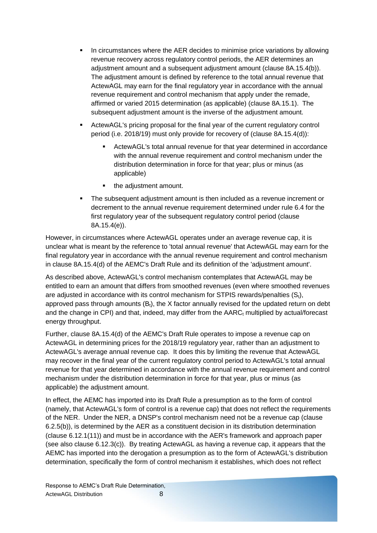- **IF In circumstances where the AER decides to minimise price variations by allowing** revenue recovery across regulatory control periods, the AER determines an adjustment amount and a subsequent adjustment amount (clause 8A.15.4(b)). The adjustment amount is defined by reference to the total annual revenue that ActewAGL may earn for the final regulatory year in accordance with the annual revenue requirement and control mechanism that apply under the remade, affirmed or varied 2015 determination (as applicable) (clause 8A.15.1). The subsequent adjustment amount is the inverse of the adjustment amount.
- ActewAGL's pricing proposal for the final year of the current regulatory control period (i.e. 2018/19) must only provide for recovery of (clause 8A.15.4(d)):
	- ActewAGL's total annual revenue for that year determined in accordance with the annual revenue requirement and control mechanism under the distribution determination in force for that year; plus or minus (as applicable)
	- the adiustment amount.
- The subsequent adjustment amount is then included as a revenue increment or decrement to the annual revenue requirement determined under rule 6.4 for the first regulatory year of the subsequent regulatory control period (clause 8A.15.4(e)).

However, in circumstances where ActewAGL operates under an average revenue cap, it is unclear what is meant by the reference to 'total annual revenue' that ActewAGL may earn for the final regulatory year in accordance with the annual revenue requirement and control mechanism in clause 8A.15.4(d) of the AEMC's Draft Rule and its definition of the 'adjustment amount'.

As described above, ActewAGL's control mechanism contemplates that ActewAGL may be entitled to earn an amount that differs from smoothed revenues (even where smoothed revenues are adjusted in accordance with its control mechanism for STPIS rewards/penalties  $(S<sub>t</sub>)$ , approved pass through amounts  $(B<sub>t</sub>)$ , the X factor annually revised for the updated return on debt and the change in CPI) and that, indeed, may differ from the  $AARC<sub>t</sub>$  multiplied by actual/forecast energy throughput.

Further, clause 8A.15.4(d) of the AEMC's Draft Rule operates to impose a revenue cap on ActewAGL in determining prices for the 2018/19 regulatory year, rather than an adjustment to ActewAGL's average annual revenue cap. It does this by limiting the revenue that ActewAGL may recover in the final year of the current regulatory control period to ActewAGL's total annual revenue for that year determined in accordance with the annual revenue requirement and control mechanism under the distribution determination in force for that year, plus or minus (as applicable) the adjustment amount.

In effect, the AEMC has imported into its Draft Rule a presumption as to the form of control (namely, that ActewAGL's form of control is a revenue cap) that does not reflect the requirements of the NER. Under the NER, a DNSP's control mechanism need not be a revenue cap (clause 6.2.5(b)), is determined by the AER as a constituent decision in its distribution determination (clause 6.12.1(11)) and must be in accordance with the AER's framework and approach paper (see also clause 6.12.3(c)). By treating ActewAGL as having a revenue cap, it appears that the AEMC has imported into the derogation a presumption as to the form of ActewAGL's distribution determination, specifically the form of control mechanism it establishes, which does not reflect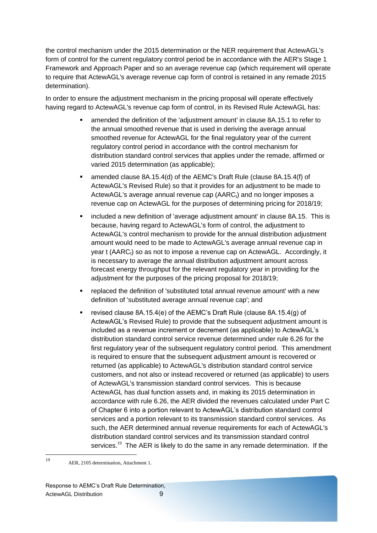the control mechanism under the 2015 determination or the NER requirement that ActewAGL's form of control for the current regulatory control period be in accordance with the AER's Stage 1 Framework and Approach Paper and so an average revenue cap (which requirement will operate to require that ActewAGL's average revenue cap form of control is retained in any remade 2015 determination).

In order to ensure the adjustment mechanism in the pricing proposal will operate effectively having regard to ActewAGL's revenue cap form of control, in its Revised Rule ActewAGL has:

- amended the definition of the 'adjustment amount' in clause 8A.15.1 to refer to the annual smoothed revenue that is used in deriving the average annual smoothed revenue for ActewAGL for the final regulatory year of the current regulatory control period in accordance with the control mechanism for distribution standard control services that applies under the remade, affirmed or varied 2015 determination (as applicable);
- amended clause 8A.15.4(d) of the AEMC's Draft Rule (clause 8A.15.4(f) of ActewAGL's Revised Rule) so that it provides for an adjustment to be made to ActewAGL's average annual revenue cap  $(AARC<sub>t</sub>)$  and no longer imposes a revenue cap on ActewAGL for the purposes of determining pricing for 2018/19;
- included a new definition of 'average adjustment amount' in clause 8A.15. This is because, having regard to ActewAGL's form of control, the adjustment to ActewAGL's control mechanism to provide for the annual distribution adjustment amount would need to be made to ActewAGL's average annual revenue cap in year t (AARC<sub>t</sub>) so as not to impose a revenue cap on ActewAGL. Accordingly, it is necessary to average the annual distribution adjustment amount across forecast energy throughput for the relevant regulatory year in providing for the adjustment for the purposes of the pricing proposal for 2018/19;
- replaced the definition of 'substituted total annual revenue amount' with a new definition of 'substituted average annual revenue cap'; and
- revised clause 8A.15.4(e) of the AEMC's Draft Rule (clause 8A.15.4(g) of ActewAGL's Revised Rule) to provide that the subsequent adjustment amount is included as a revenue increment or decrement (as applicable) to ActewAGL's distribution standard control service revenue determined under rule 6.26 for the first regulatory year of the subsequent regulatory control period. This amendment is required to ensure that the subsequent adjustment amount is recovered or returned (as applicable) to ActewAGL's distribution standard control service customers, and not also or instead recovered or returned (as applicable) to users of ActewAGL's transmission standard control services. This is because ActewAGL has dual function assets and, in making its 2015 determination in accordance with rule 6.26, the AER divided the revenues calculated under Part C of Chapter 6 into a portion relevant to ActewAGL's distribution standard control services and a portion relevant to its transmission standard control services. As such, the AER determined annual revenue requirements for each of ActewAGL's distribution standard control services and its transmission standard control services.<sup>19</sup> The AER is likely to do the same in any remade determination. If the

 $19$ <sup>19</sup> AER, 2105 determination, Attachment 1.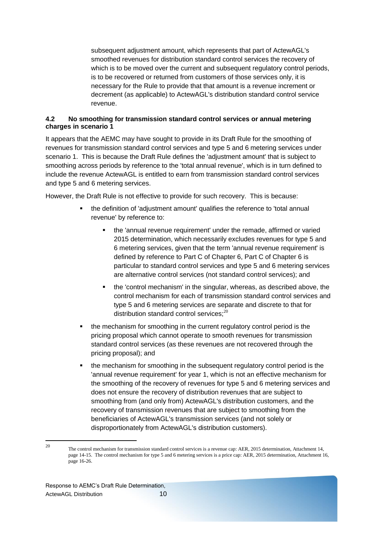subsequent adjustment amount, which represents that part of ActewAGL's smoothed revenues for distribution standard control services the recovery of which is to be moved over the current and subsequent regulatory control periods, is to be recovered or returned from customers of those services only, it is necessary for the Rule to provide that that amount is a revenue increment or decrement (as applicable) to ActewAGL's distribution standard control service revenue.

### <span id="page-10-0"></span>**4.2 No smoothing for transmission standard control services or annual metering charges in scenario 1**

It appears that the AEMC may have sought to provide in its Draft Rule for the smoothing of revenues for transmission standard control services and type 5 and 6 metering services under scenario 1. This is because the Draft Rule defines the 'adjustment amount' that is subject to smoothing across periods by reference to the 'total annual revenue', which is in turn defined to include the revenue ActewAGL is entitled to earn from transmission standard control services and type 5 and 6 metering services.

However, the Draft Rule is not effective to provide for such recovery. This is because:

- the definition of 'adjustment amount' qualifies the reference to 'total annual revenue' by reference to:
	- the 'annual revenue requirement' under the remade, affirmed or varied 2015 determination, which necessarily excludes revenues for type 5 and 6 metering services, given that the term 'annual revenue requirement' is defined by reference to Part C of Chapter 6, Part C of Chapter 6 is particular to standard control services and type 5 and 6 metering services are alternative control services (not standard control services); and
	- the 'control mechanism' in the singular, whereas, as described above, the control mechanism for each of transmission standard control services and type 5 and 6 metering services are separate and discrete to that for distribution standard control services: $^{20}$
- the mechanism for smoothing in the current regulatory control period is the pricing proposal which cannot operate to smooth revenues for transmission standard control services (as these revenues are not recovered through the pricing proposal); and
- the mechanism for smoothing in the subsequent regulatory control period is the 'annual revenue requirement' for year 1, which is not an effective mechanism for the smoothing of the recovery of revenues for type 5 and 6 metering services and does not ensure the recovery of distribution revenues that are subject to smoothing from (and only from) ActewAGL's distribution customers, and the recovery of transmission revenues that are subject to smoothing from the beneficiaries of ActewAGL's transmission services (and not solely or disproportionately from ActewAGL's distribution customers).

<sup>20</sup> <sup>20</sup> The control mechanism for transmission standard control services is a revenue cap: AER, 2015 determination, Attachment 14, page 14-15. The control mechanism for type 5 and 6 metering services is a price cap: AER, 2015 determination, Attachment 16, page 16-26.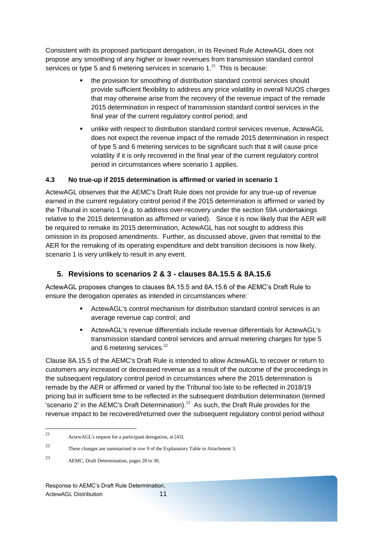Consistent with its proposed participant derogation, in its Revised Rule ActewAGL does not propose any smoothing of any higher or lower revenues from transmission standard control services or type 5 and 6 metering services in scenario 1. $^{21}$  This is because:

- the provision for smoothing of distribution standard control services should provide sufficient flexibility to address any price volatility in overall NUOS charges that may otherwise arise from the recovery of the revenue impact of the remade 2015 determination in respect of transmission standard control services in the final year of the current regulatory control period; and
- unlike with respect to distribution standard control services revenue, ActewAGL does not expect the revenue impact of the remade 2015 determination in respect of type 5 and 6 metering services to be significant such that it will cause price volatility if it is only recovered in the final year of the current regulatory control period in circumstances where scenario 1 applies.

### <span id="page-11-0"></span>**4.3 No true-up if 2015 determination is affirmed or varied in scenario 1**

ActewAGL observes that the AEMC's Draft Rule does not provide for any true-up of revenue earned in the current regulatory control period if the 2015 determination is affirmed or varied by the Tribunal in scenario 1 (e.g. to address over-recovery under the section 59A undertakings relative to the 2015 determination as affirmed or varied). Since it is now likely that the AER will be required to remake its 2015 determination, ActewAGL has not sought to address this omission in its proposed amendments. Further, as discussed above, given that remittal to the AER for the remaking of its operating expenditure and debt transition decisions is now likely, scenario 1 is very unlikely to result in any event.

# <span id="page-11-1"></span>**5. Revisions to scenarios 2 & 3 - clauses 8A.15.5 & 8A.15.6**

ActewAGL proposes changes to clauses 8A.15.5 and 8A.15.6 of the AEMC's Draft Rule to ensure the derogation operates as intended in circumstances where:

- ActewAGL's control mechanism for distribution standard control services is an average revenue cap control; and
- ActewAGL's revenue differentials include revenue differentials for ActewAGL's transmission standard control services and annual metering charges for type 5 and 6 metering services.<sup>22</sup>

Clause 8A.15.5 of the AEMC's Draft Rule is intended to allow ActewAGL to recover or return to customers any increased or decreased revenue as a result of the outcome of the proceedings in the subsequent regulatory control period in circumstances where the 2015 determination is remade by the AER or affirmed or varied by the Tribunal too late to be reflected in 2018/19 pricing but in sufficient time to be reflected in the subsequent distribution determination (termed 'scenario 2' in the AEMC's Draft Determination).<sup>23</sup> As such, the Draft Rule provides for the revenue impact to be recovered/returned over the subsequent regulatory control period without

<sup>21</sup> ActewAGL's request for a participant derogation, at [43].

<sup>22</sup> These changes are summarised in row 9 of the Explanatory Table in Attachment 3.

<sup>23</sup> AEMC, Draft Determination, pages 28 to 30.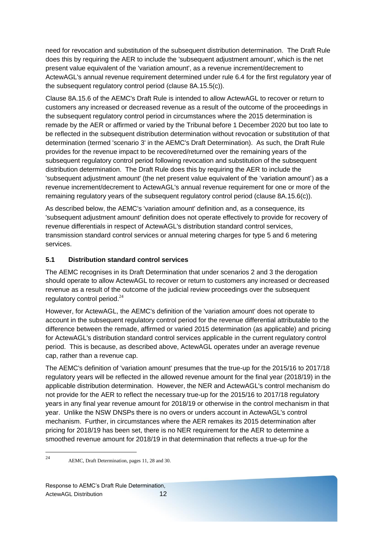need for revocation and substitution of the subsequent distribution determination. The Draft Rule does this by requiring the AER to include the 'subsequent adjustment amount', which is the net present value equivalent of the 'variation amount', as a revenue increment/decrement to ActewAGL's annual revenue requirement determined under rule 6.4 for the first regulatory year of the subsequent regulatory control period (clause 8A.15.5(c)).

Clause 8A.15.6 of the AEMC's Draft Rule is intended to allow ActewAGL to recover or return to customers any increased or decreased revenue as a result of the outcome of the proceedings in the subsequent regulatory control period in circumstances where the 2015 determination is remade by the AER or affirmed or varied by the Tribunal before 1 December 2020 but too late to be reflected in the subsequent distribution determination without revocation or substitution of that determination (termed 'scenario 3' in the AEMC's Draft Determination). As such, the Draft Rule provides for the revenue impact to be recovered/returned over the remaining years of the subsequent regulatory control period following revocation and substitution of the subsequent distribution determination. The Draft Rule does this by requiring the AER to include the 'subsequent adjustment amount' (the net present value equivalent of the 'variation amount') as a revenue increment/decrement to ActewAGL's annual revenue requirement for one or more of the remaining regulatory years of the subsequent regulatory control period (clause 8A.15.6(c)).

As described below, the AEMC's 'variation amount' definition and, as a consequence, its 'subsequent adjustment amount' definition does not operate effectively to provide for recovery of revenue differentials in respect of ActewAGL's distribution standard control services, transmission standard control services or annual metering charges for type 5 and 6 metering services.

# <span id="page-12-0"></span>**5.1 Distribution standard control services**

The AEMC recognises in its Draft Determination that under scenarios 2 and 3 the derogation should operate to allow ActewAGL to recover or return to customers any increased or decreased revenue as a result of the outcome of the judicial review proceedings over the subsequent regulatory control period. $24$ 

However, for ActewAGL, the AEMC's definition of the 'variation amount' does not operate to account in the subsequent regulatory control period for the revenue differential attributable to the difference between the remade, affirmed or varied 2015 determination (as applicable) and pricing for ActewAGL's distribution standard control services applicable in the current regulatory control period. This is because, as described above, ActewAGL operates under an average revenue cap, rather than a revenue cap.

The AEMC's definition of 'variation amount' presumes that the true-up for the 2015/16 to 2017/18 regulatory years will be reflected in the allowed revenue amount for the final year (2018/19) in the applicable distribution determination. However, the NER and ActewAGL's control mechanism do not provide for the AER to reflect the necessary true-up for the 2015/16 to 2017/18 regulatory years in any final year revenue amount for 2018/19 or otherwise in the control mechanism in that year. Unlike the NSW DNSPs there is no overs or unders account in ActewAGL's control mechanism. Further, in circumstances where the AER remakes its 2015 determination after pricing for 2018/19 has been set, there is no NER requirement for the AER to determine a smoothed revenue amount for 2018/19 in that determination that reflects a true-up for the

 $24$ AEMC, Draft Determination, pages 11, 28 and 30.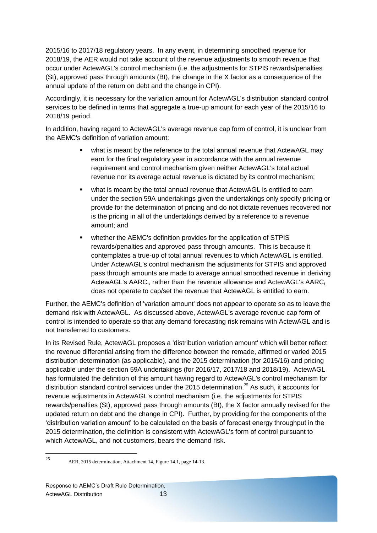2015/16 to 2017/18 regulatory years. In any event, in determining smoothed revenue for 2018/19, the AER would not take account of the revenue adjustments to smooth revenue that occur under ActewAGL's control mechanism (i.e. the adjustments for STPIS rewards/penalties (St), approved pass through amounts (Bt), the change in the X factor as a consequence of the annual update of the return on debt and the change in CPI).

Accordingly, it is necessary for the variation amount for ActewAGL's distribution standard control services to be defined in terms that aggregate a true-up amount for each year of the 2015/16 to 2018/19 period.

In addition, having regard to ActewAGL's average revenue cap form of control, it is unclear from the AEMC's definition of variation amount:

- what is meant by the reference to the total annual revenue that ActewAGL may earn for the final regulatory year in accordance with the annual revenue requirement and control mechanism given neither ActewAGL's total actual revenue nor its average actual revenue is dictated by its control mechanism;
- what is meant by the total annual revenue that ActewAGL is entitled to earn under the section 59A undertakings given the undertakings only specify pricing or provide for the determination of pricing and do not dictate revenues recovered nor is the pricing in all of the undertakings derived by a reference to a revenue amount; and
- whether the AEMC's definition provides for the application of STPIS rewards/penalties and approved pass through amounts. This is because it contemplates a true-up of total annual revenues to which ActewAGL is entitled. Under ActewAGL's control mechanism the adjustments for STPIS and approved pass through amounts are made to average annual smoothed revenue in deriving ActewAGL's  $AARC_t$ , rather than the revenue allowance and ActewAGL's  $AARC_t$ does not operate to cap/set the revenue that ActewAGL is entitled to earn.

Further, the AEMC's definition of 'variation amount' does not appear to operate so as to leave the demand risk with ActewAGL. As discussed above, ActewAGL's average revenue cap form of control is intended to operate so that any demand forecasting risk remains with ActewAGL and is not transferred to customers.

In its Revised Rule, ActewAGL proposes a 'distribution variation amount' which will better reflect the revenue differential arising from the difference between the remade, affirmed or varied 2015 distribution determination (as applicable), and the 2015 determination (for 2015/16) and pricing applicable under the section 59A undertakings (for 2016/17, 2017/18 and 2018/19). ActewAGL has formulated the definition of this amount having regard to ActewAGL's control mechanism for distribution standard control services under the 2015 determination. <sup>25</sup> As such, it accounts for revenue adjustments in ActewAGL's control mechanism (i.e. the adjustments for STPIS rewards/penalties (St), approved pass through amounts (Bt), the X factor annually revised for the updated return on debt and the change in CPI). Further, by providing for the components of the 'distribution variation amount' to be calculated on the basis of forecast energy throughput in the 2015 determination, the definition is consistent with ActewAGL's form of control pursuant to which ActewAGL, and not customers, bears the demand risk.

<sup>25</sup> <sup>25</sup> AER, 2015 determination, Attachment 14, Figure 14.1, page 14-13.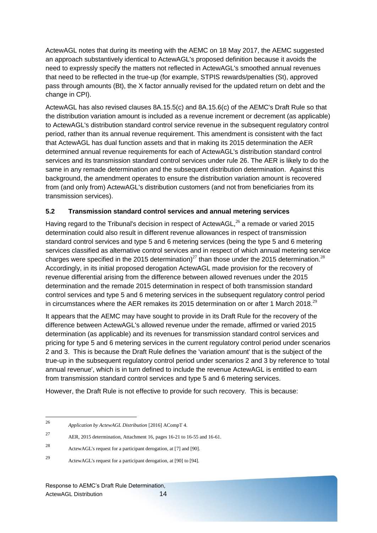ActewAGL notes that during its meeting with the AEMC on 18 May 2017, the AEMC suggested an approach substantively identical to ActewAGL's proposed definition because it avoids the need to expressly specify the matters not reflected in ActewAGL's smoothed annual revenues that need to be reflected in the true-up (for example, STPIS rewards/penalties (St), approved pass through amounts (Bt), the X factor annually revised for the updated return on debt and the change in CPI).

ActewAGL has also revised clauses 8A.15.5(c) and 8A.15.6(c) of the AEMC's Draft Rule so that the distribution variation amount is included as a revenue increment or decrement (as applicable) to ActewAGL's distribution standard control service revenue in the subsequent regulatory control period, rather than its annual revenue requirement. This amendment is consistent with the fact that ActewAGL has dual function assets and that in making its 2015 determination the AER determined annual revenue requirements for each of ActewAGL's distribution standard control services and its transmission standard control services under rule 26. The AER is likely to do the same in any remade determination and the subsequent distribution determination. Against this background, the amendment operates to ensure the distribution variation amount is recovered from (and only from) ActewAGL's distribution customers (and not from beneficiaries from its transmission services).

### <span id="page-14-0"></span>**5.2 Transmission standard control services and annual metering services**

Having regard to the Tribunal's decision in respect of ActewAGL, $^{26}$  a remade or varied 2015 determination could also result in different revenue allowances in respect of transmission standard control services and type 5 and 6 metering services (being the type 5 and 6 metering services classified as alternative control services and in respect of which annual metering service charges were specified in the 2015 determination)<sup>27</sup> than those under the 2015 determination.<sup>28</sup> Accordingly, in its initial proposed derogation ActewAGL made provision for the recovery of revenue differential arising from the difference between allowed revenues under the 2015 determination and the remade 2015 determination in respect of both transmission standard control services and type 5 and 6 metering services in the subsequent regulatory control period in circumstances where the AER remakes its 2015 determination on or after 1 March 2018.<sup>29</sup>

It appears that the AEMC may have sought to provide in its Draft Rule for the recovery of the difference between ActewAGL's allowed revenue under the remade, affirmed or varied 2015 determination (as applicable) and its revenues for transmission standard control services and pricing for type 5 and 6 metering services in the current regulatory control period under scenarios 2 and 3. This is because the Draft Rule defines the 'variation amount' that is the subject of the true-up in the subsequent regulatory control period under scenarios 2 and 3 by reference to 'total annual revenue', which is in turn defined to include the revenue ActewAGL is entitled to earn from transmission standard control services and type 5 and 6 metering services.

However, the Draft Rule is not effective to provide for such recovery. This is because:

1

<sup>27</sup> AER, 2015 determination, Attachment 16, pages 16-21 to 16-55 and 16-61.

<sup>26</sup> *Application by ActewAGL Distribution* [2016] ACompT 4.

<sup>28</sup> ActewAGL's request for a participant derogation, at [7] and [90].

<sup>29</sup> ActewAGL's request for a participant derogation, at [90] to [94].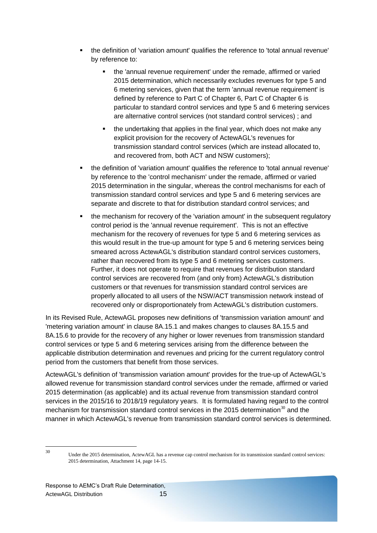- the definition of 'variation amount' qualifies the reference to 'total annual revenue' by reference to:
	- the 'annual revenue requirement' under the remade, affirmed or varied 2015 determination, which necessarily excludes revenues for type 5 and 6 metering services, given that the term 'annual revenue requirement' is defined by reference to Part C of Chapter 6, Part C of Chapter 6 is particular to standard control services and type 5 and 6 metering services are alternative control services (not standard control services) ; and
	- **the undertaking that applies in the final year, which does not make any** explicit provision for the recovery of ActewAGL's revenues for transmission standard control services (which are instead allocated to, and recovered from, both ACT and NSW customers);
- the definition of 'variation amount' qualifies the reference to 'total annual revenue' by reference to the 'control mechanism' under the remade, affirmed or varied 2015 determination in the singular, whereas the control mechanisms for each of transmission standard control services and type 5 and 6 metering services are separate and discrete to that for distribution standard control services; and
- the mechanism for recovery of the 'variation amount' in the subsequent regulatory control period is the 'annual revenue requirement'. This is not an effective mechanism for the recovery of revenues for type 5 and 6 metering services as this would result in the true-up amount for type 5 and 6 metering services being smeared across ActewAGL's distribution standard control services customers, rather than recovered from its type 5 and 6 metering services customers. Further, it does not operate to require that revenues for distribution standard control services are recovered from (and only from) ActewAGL's distribution customers or that revenues for transmission standard control services are properly allocated to all users of the NSW/ACT transmission network instead of recovered only or disproportionately from ActewAGL's distribution customers.

In its Revised Rule, ActewAGL proposes new definitions of 'transmission variation amount' and 'metering variation amount' in clause 8A.15.1 and makes changes to clauses 8A.15.5 and 8A.15.6 to provide for the recovery of any higher or lower revenues from transmission standard control services or type 5 and 6 metering services arising from the difference between the applicable distribution determination and revenues and pricing for the current regulatory control period from the customers that benefit from those services.

ActewAGL's definition of 'transmission variation amount' provides for the true-up of ActewAGL's allowed revenue for transmission standard control services under the remade, affirmed or varied 2015 determination (as applicable) and its actual revenue from transmission standard control services in the 2015/16 to 2018/19 regulatory years. It is formulated having regard to the control mechanism for transmission standard control services in the 2015 determination<sup>30</sup> and the manner in which ActewAGL's revenue from transmission standard control services is determined.

 $30^{\circ}$ 

Under the 2015 determination, ActewAGL has a revenue cap control mechanism for its transmission standard control services: 2015 determination, Attachment 14, page 14-15.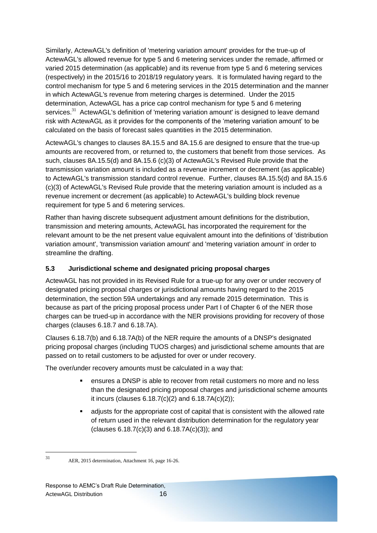Similarly, ActewAGL's definition of 'metering variation amount' provides for the true-up of ActewAGL's allowed revenue for type 5 and 6 metering services under the remade, affirmed or varied 2015 determination (as applicable) and its revenue from type 5 and 6 metering services (respectively) in the 2015/16 to 2018/19 regulatory years. It is formulated having regard to the control mechanism for type 5 and 6 metering services in the 2015 determination and the manner in which ActewAGL's revenue from metering charges is determined. Under the 2015 determination, ActewAGL has a price cap control mechanism for type 5 and 6 metering services. $31$  ActewAGL's definition of 'metering variation amount' is designed to leave demand risk with ActewAGL as it provides for the components of the 'metering variation amount' to be calculated on the basis of forecast sales quantities in the 2015 determination.

ActewAGL's changes to clauses 8A.15.5 and 8A.15.6 are designed to ensure that the true-up amounts are recovered from, or returned to, the customers that benefit from those services. As such, clauses 8A.15.5(d) and 8A.15.6 (c)(3) of ActewAGL's Revised Rule provide that the transmission variation amount is included as a revenue increment or decrement (as applicable) to ActewAGL's transmission standard control revenue. Further, clauses 8A.15.5(d) and 8A.15.6 (c)(3) of ActewAGL's Revised Rule provide that the metering variation amount is included as a revenue increment or decrement (as applicable) to ActewAGL's building block revenue requirement for type 5 and 6 metering services.

Rather than having discrete subsequent adjustment amount definitions for the distribution, transmission and metering amounts, ActewAGL has incorporated the requirement for the relevant amount to be the net present value equivalent amount into the definitions of 'distribution variation amount', 'transmission variation amount' and 'metering variation amount' in order to streamline the drafting.

### <span id="page-16-0"></span>**5.3 Jurisdictional scheme and designated pricing proposal charges**

ActewAGL has not provided in its Revised Rule for a true-up for any over or under recovery of designated pricing proposal charges or jurisdictional amounts having regard to the 2015 determination, the section 59A undertakings and any remade 2015 determination. This is because as part of the pricing proposal process under Part I of Chapter 6 of the NER those charges can be trued-up in accordance with the NER provisions providing for recovery of those charges (clauses 6.18.7 and 6.18.7A).

Clauses 6.18.7(b) and 6.18.7A(b) of the NER require the amounts of a DNSP's designated pricing proposal charges (including TUOS charges) and jurisdictional scheme amounts that are passed on to retail customers to be adjusted for over or under recovery.

The over/under recovery amounts must be calculated in a way that:

- ensures a DNSP is able to recover from retail customers no more and no less than the designated pricing proposal charges and jurisdictional scheme amounts it incurs (clauses 6.18.7(c)(2) and 6.18.7A(c)(2));
- adjusts for the appropriate cost of capital that is consistent with the allowed rate of return used in the relevant distribution determination for the regulatory year (clauses 6.18.7(c)(3) and 6.18.7A(c)(3)); and

 $31$ 

AER, 2015 determination, Attachment 16, page 16-26.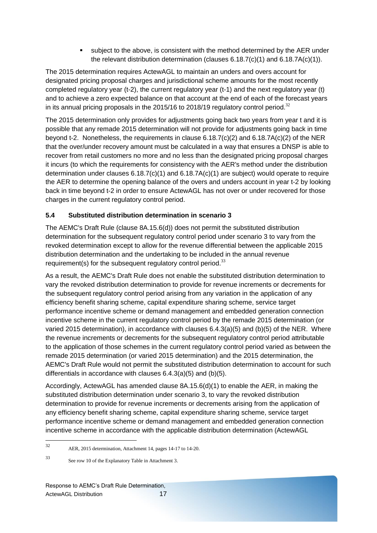subject to the above, is consistent with the method determined by the AER under the relevant distribution determination (clauses 6.18.7(c)(1) and 6.18.7A(c)(1)).

The 2015 determination requires ActewAGL to maintain an unders and overs account for designated pricing proposal charges and jurisdictional scheme amounts for the most recently completed regulatory year (t-2), the current regulatory year (t-1) and the next regulatory year (t) and to achieve a zero expected balance on that account at the end of each of the forecast years in its annual pricing proposals in the 2015/16 to 2018/19 regulatory control period.<sup>32</sup>

The 2015 determination only provides for adjustments going back two years from year t and it is possible that any remade 2015 determination will not provide for adjustments going back in time beyond t-2. Nonetheless, the requirements in clause 6.18.7(c)(2) and 6.18.7A(c)(2) of the NER that the over/under recovery amount must be calculated in a way that ensures a DNSP is able to recover from retail customers no more and no less than the designated pricing proposal charges it incurs (to which the requirements for consistency with the AER's method under the distribution determination under clauses 6.18.7(c)(1) and 6.18.7A(c)(1) are subject) would operate to require the AER to determine the opening balance of the overs and unders account in year t-2 by looking back in time beyond t-2 in order to ensure ActewAGL has not over or under recovered for those charges in the current regulatory control period.

# <span id="page-17-0"></span>**5.4 Substituted distribution determination in scenario 3**

The AEMC's Draft Rule (clause 8A.15.6(d)) does not permit the substituted distribution determination for the subsequent regulatory control period under scenario 3 to vary from the revoked determination except to allow for the revenue differential between the applicable 2015 distribution determination and the undertaking to be included in the annual revenue requirement(s) for the subsequent regulatory control period. $33$ 

As a result, the AEMC's Draft Rule does not enable the substituted distribution determination to vary the revoked distribution determination to provide for revenue increments or decrements for the subsequent regulatory control period arising from any variation in the application of any efficiency benefit sharing scheme, capital expenditure sharing scheme, service target performance incentive scheme or demand management and embedded generation connection incentive scheme in the current regulatory control period by the remade 2015 determination (or varied 2015 determination), in accordance with clauses 6.4.3(a)(5) and (b)(5) of the NER. Where the revenue increments or decrements for the subsequent regulatory control period attributable to the application of those schemes in the current regulatory control period varied as between the remade 2015 determination (or varied 2015 determination) and the 2015 determination, the AEMC's Draft Rule would not permit the substituted distribution determination to account for such differentials in accordance with clauses 6.4.3(a)(5) and (b)(5).

Accordingly, ActewAGL has amended clause 8A.15.6(d)(1) to enable the AER, in making the substituted distribution determination under scenario 3, to vary the revoked distribution determination to provide for revenue increments or decrements arising from the application of any efficiency benefit sharing scheme, capital expenditure sharing scheme, service target performance incentive scheme or demand management and embedded generation connection incentive scheme in accordance with the applicable distribution determination (ActewAGL

 $32$ <sup>32</sup> AER, 2015 determination, Attachment 14, pages 14-17 to 14-20.

<sup>33</sup> See row 10 of the Explanatory Table in Attachment 3.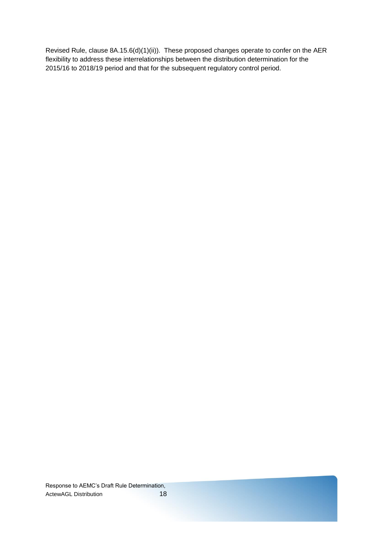Revised Rule, clause 8A.15.6(d)(1)(ii)). These proposed changes operate to confer on the AER flexibility to address these interrelationships between the distribution determination for the 2015/16 to 2018/19 period and that for the subsequent regulatory control period.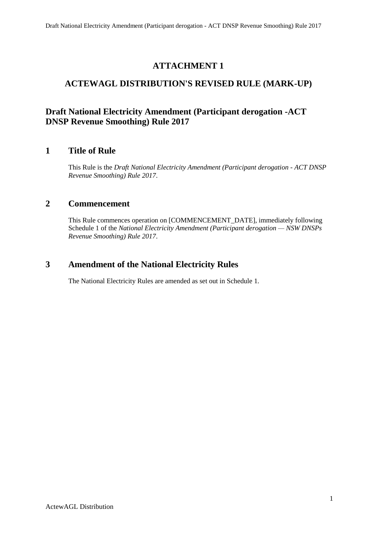# **ATTACHMENT 1**

# **ACTEWAGL DISTRIBUTION'S REVISED RULE (MARK-UP)**

# **Draft National Electricity Amendment (Participant derogation -ACT DNSP Revenue Smoothing) Rule 2017**

# **1 Title of Rule**

This Rule is the *Draft National Electricity Amendment (Participant derogation - ACT DNSP Revenue Smoothing) Rule 2017*.

# **2 Commencement**

This Rule commences operation on [COMMENCEMENT\_DATE], immediately following Schedule 1 of the *National Electricity Amendment (Participant derogation — NSW DNSPs Revenue Smoothing) Rule 2017*.

# **3 Amendment of the National Electricity Rules**

The National Electricity Rules are amended as set out in Schedule 1.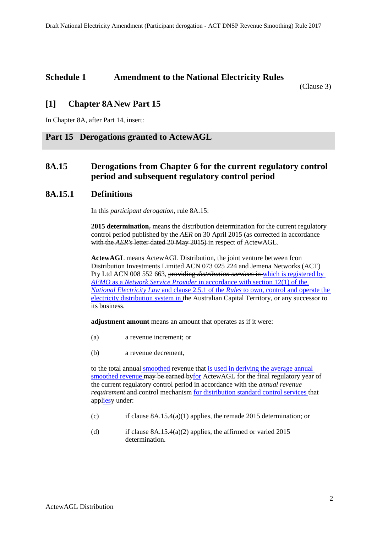# **Schedule 1 Amendment to the National Electricity Rules**

(Clause 3)

# **[1] Chapter 8ANew Part 15**

In Chapter 8A, after Part 14, insert:

### **Part 15 Derogations granted to ActewAGL**

# <span id="page-20-0"></span>**8A.15 Derogations from Chapter 6 for the current regulatory control period and subsequent regulatory control period**

### **8A.15.1 Definitions**

In this *participant derogation*, rule 8A.15:

**2015 determination**, means the distribution determination for the current regulatory control period published by the *AER* on 30 April 2015 (as corrected in accordance with the *AER's* letter dated 20 May 2015) in respect of ActewAGL.

**ActewAGL** means ActewAGL Distribution, the joint venture between Icon Distribution Investments Limited ACN 073 025 224 and Jemena Networks (ACT) Pty Ltd ACN 008 552 663, providing *distribution services* in which is registered by *AEMO* as a *Network Service Provider* in accordance with section 12(1) of the *National Electricity Law* and clause 2.5.1 of the *Rules* to own, control and operate the electricity distribution system in the Australian Capital Territory, or any successor to its business.

**adjustment amount** means an amount that operates as if it were:

- (a) a revenue increment; or
- (b) a revenue decrement,

to the total annual smoothed revenue that is used in deriving the average annual smoothed revenue may be earned byfor ActewAGL for the final regulatory year of the current regulatory control period in accordance with the *annual revenue requirement* and control mechanism for distribution standard control services that appliesy under:

- (c) if clause [8A.15.4\(a\)\(1\)](#page-27-0) applies, the remade 2015 determination; or
- (d) if clause  $8A.15.4(a)(2)$  applies, the affirmed or varied 2015 determination.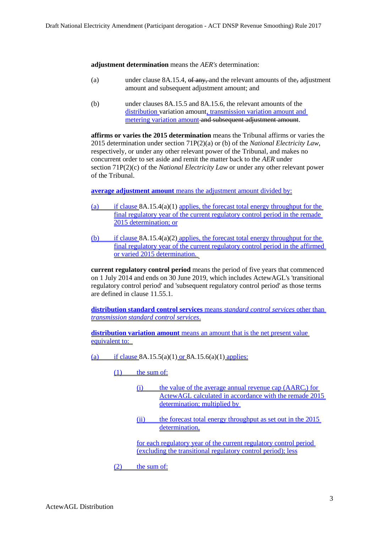**adjustment determination** means the *AER's* determination:

- (a) under clause  $8A.15.4$ , of any, and the relevant amounts of the, adjustment amount and subsequent adjustment amount; and
- (b) under clauses [8A.15.5](#page-29-0) and [8A.15.6,](#page-31-0) the relevant amounts of the distribution variation amount, transmission variation amount and metering variation amount and subsequent adjustment amount.

**affirms or varies the 2015 determination** means the Tribunal affirms or varies the 2015 determination under section 71P(2)(a) or (b) of the *National Electricity Law*, respectively, or under any other relevant power of the Tribunal, and makes no concurrent order to set aside and remit the matter back to the *AER* under section 71P(2)(c) of the *National Electricity Law* or under any other relevant power of the Tribunal.

**average adjustment amount** means the adjustment amount divided by:

- (a) if clause [8A.15.4\(a\)\(1\)](#page-27-0) applies, the forecast total energy throughput for the final regulatory year of the current regulatory control period in the remade 2015 determination; or
- (b) if claus[e 8A.15.4\(a\)\(2\)](#page-27-1) applies, the forecast total energy throughput for the final regulatory year of the current regulatory control period in the affirmed or varied 2015 determination.

**current regulatory control period** means the period of five years that commenced on 1 July 2014 and ends on 30 June 2019, which includes ActewAGL's 'transitional regulatory control period' and 'subsequent regulatory control period' as those terms are defined in clause 11.55.1.

**distribution standard control services** means *standard control services* other than *transmission standard control services*.

**distribution variation amount** means an amount that is the net present value equivalent to:

(a) if clause  $8A.15.5(a)(1)$  or  $8A.15.6(a)(1)$  applies:

(1) the sum of:

- (i) the value of the average annual revenue cap  $(AARC<sub>t</sub>)$  for ActewAGL calculated in accordance with the remade 2015 determination; multiplied by
- (ii) the forecast total energy throughput as set out in the 2015 determination,

for each regulatory year of the current regulatory control period (excluding the transitional regulatory control period); less

(2) the sum of: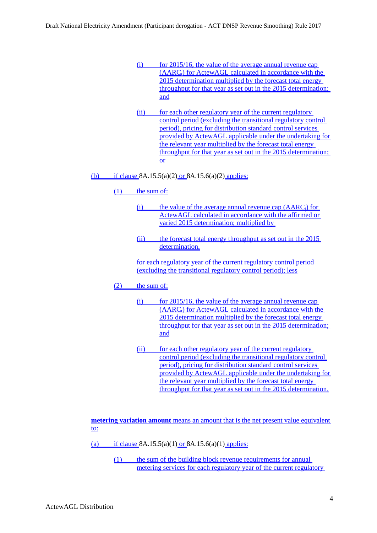- $(i)$  for 2015/16, the value of the average annual revenue cap  $(AARC<sub>t</sub>)$  for ActewAGL calculated in accordance with the 2015 determination multiplied by the forecast total energy throughput for that year as set out in the 2015 determination; and
- (ii) for each other regulatory year of the current regulatory control period (excluding the transitional regulatory control period), pricing for distribution standard control services provided by ActewAGL applicable under the undertaking for the relevant year multiplied by the forecast total energy throughput for that year as set out in the 2015 determination; or
- (b) if clause  $8A.15.5(a)(2)$  or  $8A.15.6(a)(2)$  applies:
	- (1) the sum of:
		- (i) the value of the average annual revenue cap  $(AARC_t)$  for ActewAGL calculated in accordance with the affirmed or varied 2015 determination; multiplied by
		- (ii) the forecast total energy throughput as set out in the 2015 determination,
		- for each regulatory year of the current regulatory control period (excluding the transitional regulatory control period); less
	- (2) the sum of:
		- $(i)$  for 2015/16, the value of the average annual revenue cap  $(AARC_t)$  for  $ActewAGL$  calculated in accordance with the 2015 determination multiplied by the forecast total energy throughput for that year as set out in the 2015 determination; and
		- (ii) for each other regulatory year of the current regulatory control period (excluding the transitional regulatory control period), pricing for distribution standard control services provided by ActewAGL applicable under the undertaking for the relevant year multiplied by the forecast total energy throughput for that year as set out in the 2015 determination.

**metering variation amount** means an amount that is the net present value equivalent to:

(a) if clause  $8A.15.5(a)(1)$  or  $8A.15.6(a)(1)$  applies:

(1) the sum of the building block revenue requirements for annual metering services for each regulatory year of the current regulatory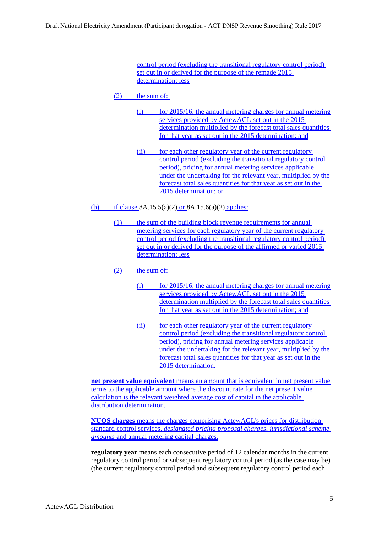control period (excluding the transitional regulatory control period) set out in or derived for the purpose of the remade 2015 determination; less

- $(2)$  the sum of:
	- $(i)$  for 2015/16, the annual metering charges for annual metering services provided by ActewAGL set out in the 2015 determination multiplied by the forecast total sales quantities for that year as set out in the 2015 determination; and
	- (ii) for each other regulatory year of the current regulatory control period (excluding the transitional regulatory control period), pricing for annual metering services applicable under the undertaking for the relevant year, multiplied by the forecast total sales quantities for that year as set out in the 2015 determination; or
- (b) if clause  $8A.15.5(a)(2)$  or  $8A.15.6(a)(2)$  applies:
	- (1) the sum of the building block revenue requirements for annual metering services for each regulatory year of the current regulatory control period (excluding the transitional regulatory control period) set out in or derived for the purpose of the affirmed or varied 2015 determination; less
	- (2) the sum of:
		- $(i)$  for 2015/16, the annual metering charges for annual metering services provided by ActewAGL set out in the 2015 determination multiplied by the forecast total sales quantities for that year as set out in the 2015 determination; and
		- (ii) for each other regulatory year of the current regulatory control period (excluding the transitional regulatory control period), pricing for annual metering services applicable under the undertaking for the relevant year, multiplied by the forecast total sales quantities for that year as set out in the 2015 determination.

**net present value equivalent** means an amount that is equivalent in net present value terms to the applicable amount where the discount rate for the net present value calculation is the relevant weighted average cost of capital in the applicable distribution determination.

**NUOS charges** means the charges comprising ActewAGL's prices for distribution standard control services, *designated pricing proposal charges*, *jurisdictional scheme amounts* and annual metering capital charges.

**regulatory year** means each consecutive period of 12 calendar months in the current regulatory control period or subsequent regulatory control period (as the case may be) (the current regulatory control period and subsequent regulatory control period each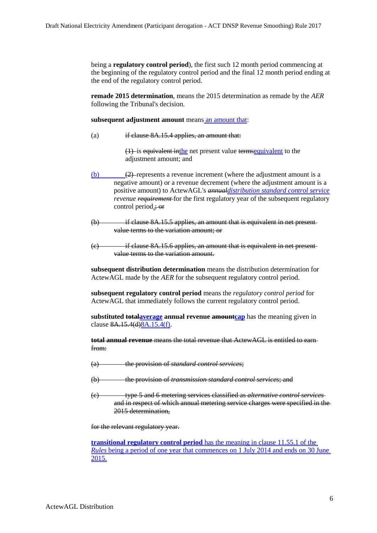being a **regulatory control period**), the first such 12 month period commencing at the beginning of the regulatory control period and the final 12 month period ending at the end of the regulatory control period.

**remade 2015 determination**, means the 2015 determination as remade by the *AER* following the Tribunal's decision.

**subsequent adjustment amount** means an amount that:

(a) if clause [8A.15.4](#page-27-2) applies, an amount that:

(1) is equivalent inthe net present value termsequivalent to the adjustment amount; and

- $\overline{(b)}$  (b)  $\overline{(2)}$  represents a revenue increment (where the adjustment amount is a negative amount) or a revenue decrement (where the adjustment amount is a positive amount) to ActewAGL's *annualdistribution standard control service revenue requirement* for the first regulatory year of the subsequent regulatory control period.; or
- (b) if clause [8A.15.5](#page-29-0) applies, an amount that is equivalent in net present value terms to the variation amount; or
- $(e)$  if clause  $8A.15.6$  applies, an amount that is equivalent in net presentvalue terms to the variation amount.

**subsequent distribution determination** means the distribution determination for ActewAGL made by the *AER* for the subsequent regulatory control period.

**subsequent regulatory control period** means the *regulatory control period* for ActewAGL that immediately follows the current regulatory control period.

**substituted totalaverage** annual revenue **amountcap** has the meaning given in clause 8A.15.4(d)8A.15.4(f).

**total annual revenue** means the total revenue that ActewAGL is entitled to earn from:

- (a) the provision of *standard control services*;
- (b) the provision of *transmission standard control services*; and
- (c) type 5 and 6 metering services classified as *alternative control services* and in respect of which annual metering service charges were specified in the 2015 determination,

for the relevant regulatory year.

**transitional regulatory control period** has the meaning in clause 11.55.1 of the *Rules* being a period of one year that commences on 1 July 2014 and ends on 30 June 2015.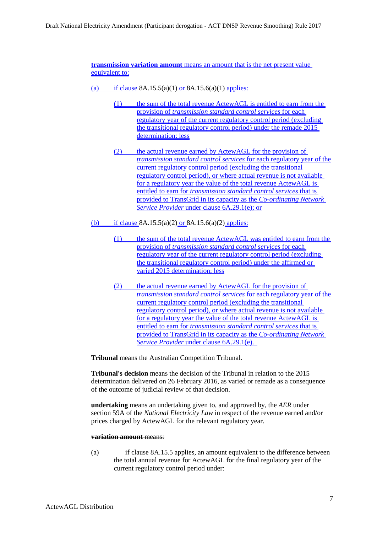**transmission variation amount** means an amount that is the net present value equivalent to:

- (a) if clause  $8A.15.5(a)(1)$  or  $8A.15.6(a)(1)$  applies:
	- (1) the sum of the total revenue ActewAGL is entitled to earn from the provision of *transmission standard control services* for each regulatory year of the current regulatory control period (excluding the transitional regulatory control period) under the remade 2015 determination; less
	- (2) the actual revenue earned by ActewAGL for the provision of *transmission standard control services* for each regulatory year of the current regulatory control period (excluding the transitional regulatory control period), or where actual revenue is not available for a regulatory year the value of the total revenue ActewAGL is entitled to earn for *transmission standard control services* that is provided to TransGrid in its capacity as the *Co-ordinating Network Service Provider* under clause 6A.29.1(e); or
- (b) if clause  $8A.15.5(a)(2)$  or  $8A.15.6(a)(2)$  applies:
	- (1) the sum of the total revenue ActewAGL was entitled to earn from the provision of *transmission standard control services* for each regulatory year of the current regulatory control period (excluding the transitional regulatory control period) under the affirmed or varied 2015 determination; less
	- (2) the actual revenue earned by ActewAGL for the provision of *transmission standard control services* for each regulatory year of the current regulatory control period (excluding the transitional regulatory control period), or where actual revenue is not available for a regulatory year the value of the total revenue ActewAGL is entitled to earn for *transmission standard control services* that is provided to TransGrid in its capacity as the *Co-ordinating Network Service Provider* under clause 6A.29.1(e).

**Tribunal** means the Australian Competition Tribunal.

**Tribunal's decision** means the decision of the Tribunal in relation to the 2015 determination delivered on 26 February 2016, as varied or remade as a consequence of the outcome of judicial review of that decision.

**undertaking** means an undertaking given to, and approved by, the *AER* under section 59A of the *National Electricity Law* in respect of the revenue earned and/or prices charged by ActewAGL for the relevant regulatory year.

#### **variation amount** means:

(a) if clause [8A.15.5](#page-29-0) applies, an amount equivalent to the difference between the total annual revenue for ActewAGL for the final regulatory year of the current regulatory control period under: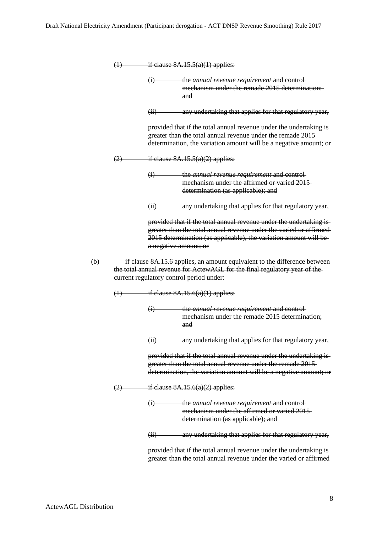| (1)                                                                                                                                                                                                 | if clause $8A.15.5(a)(1)$ applies:                                                                                                                                                                                                      |  |  |  |
|-----------------------------------------------------------------------------------------------------------------------------------------------------------------------------------------------------|-----------------------------------------------------------------------------------------------------------------------------------------------------------------------------------------------------------------------------------------|--|--|--|
|                                                                                                                                                                                                     | the annual revenue requirement and control-<br>(1)<br>mechanism under the remade 2015 determination;<br>and                                                                                                                             |  |  |  |
|                                                                                                                                                                                                     | any undertaking that applies for that regulatory year,<br>(ii)                                                                                                                                                                          |  |  |  |
|                                                                                                                                                                                                     | provided that if the total annual revenue under the undertaking is-<br>greater than the total annual revenue under the remade 2015-<br>determination, the variation amount will be a negative amount; or                                |  |  |  |
| (2)                                                                                                                                                                                                 | if clause $8A.15.5(a)(2)$ applies:                                                                                                                                                                                                      |  |  |  |
|                                                                                                                                                                                                     | the annual revenue requirement and control-<br>$\bigoplus$<br>mechanism under the affirmed or varied 2015<br>determination (as applicable); and                                                                                         |  |  |  |
|                                                                                                                                                                                                     | any undertaking that applies for that regulatory year,<br>(ii)                                                                                                                                                                          |  |  |  |
|                                                                                                                                                                                                     | provided that if the total annual revenue under the undertaking is-<br>greater than the total annual revenue under the varied or affirmed<br>2015 determination (as applicable), the variation amount will be-<br>a negative amount; or |  |  |  |
| if clause 8A.15.6 applies, an amount equivalent to the difference between<br>the total annual revenue for ActewAGL for the final regulatory year of the<br>eurrent regulatory control period under: |                                                                                                                                                                                                                                         |  |  |  |
|                                                                                                                                                                                                     | $(1)$ if clause $8A.15.6(a)(1)$ applies:                                                                                                                                                                                                |  |  |  |
|                                                                                                                                                                                                     | the annual revenue requirement and control-<br>$\left( i\right)$<br>mechanism under the remade 2015 determination;<br>and                                                                                                               |  |  |  |
|                                                                                                                                                                                                     | any undertaking that applies for that regulatory year,<br>$\left( \mathrm{H} \right)$                                                                                                                                                   |  |  |  |
|                                                                                                                                                                                                     | provided that if the total annual revenue under the undertaking is-<br>greater than the total annual revenue under the remade 2015-<br>determination, the variation amount will be a negative amount; or                                |  |  |  |
| (2)                                                                                                                                                                                                 | if clause $8A.15.6(a)(2)$ applies:                                                                                                                                                                                                      |  |  |  |
|                                                                                                                                                                                                     | <del>the <i>annual revenue requirement</i> and control</del><br>$\ddot{u}$<br>mechanism under the affirmed or varied 2015<br>determination (as applicable); and                                                                         |  |  |  |
|                                                                                                                                                                                                     | any undertaking that applies for that regulatory year,<br>$\overline{H}$                                                                                                                                                                |  |  |  |
|                                                                                                                                                                                                     | provided that if the total annual revenue under the undertaking is                                                                                                                                                                      |  |  |  |

greater than the total annual revenue under the varied or affirmed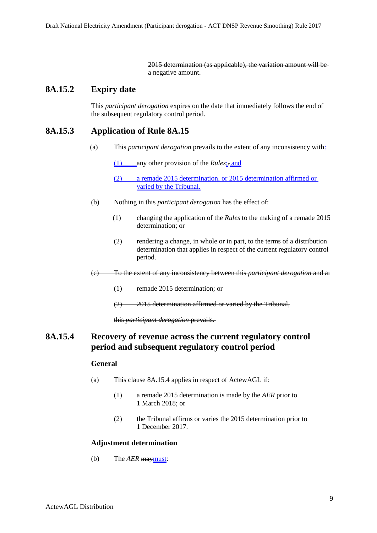2015 determination (as applicable), the variation amount will be a negative amount.

# **8A.15.2 Expiry date**

This *participant derogation* expires on the date that immediately follows the end of the subsequent regulatory control period.

# **8A.15.3 Application of Rule 8A.15**

(a) This *participant derogation* prevails to the extent of any inconsistency with:

(1) any other provision of the *Rules*;. and

(2) a remade 2015 determination, or 2015 determination affirmed or varied by the Tribunal.

- (b) Nothing in this *participant derogation* has the effect of:
	- (1) changing the application of the *Rules* to the making of a remade 2015 determination; or
	- (2) rendering a change, in whole or in part, to the terms of a distribution determination that applies in respect of the current regulatory control period.
- (c) To the extent of any inconsistency between this *participant derogation* and a:
	- (1) remade 2015 determination; or
	- (2) 2015 determination affirmed or varied by the Tribunal,

this *participant derogation* prevails.

# <span id="page-27-3"></span><span id="page-27-2"></span>**8A.15.4 Recovery of revenue across the current regulatory control period and subsequent regulatory control period**

### **General**

- <span id="page-27-0"></span>(a) This clause [8A.15.4](#page-27-2) applies in respect of ActewAGL if:
	- (1) a remade 2015 determination is made by the *AER* prior to 1 March 2018; or
	- (2) the Tribunal affirms or varies the 2015 determination prior to 1 December 2017.

### <span id="page-27-1"></span>**Adjustment determination**

<span id="page-27-4"></span>(b) The *AER* maymust: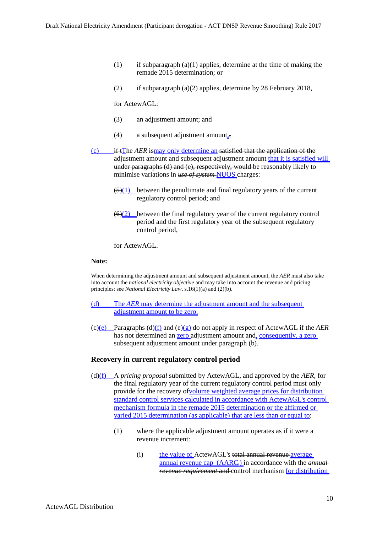- (1) if subparagraph  $(a)(1)$  applies, determine at the time of making the remade 2015 determination; or
- (2) if subparagraph [\(a\)\(2\)](#page-27-3) applies, determine by 28 February 2018,

for ActewAGL:

- (3) an adjustment amount; and
- (4) a subsequent adjustment amount.,
- (c) if tThe *AER* ismay only determine an satisfied that the application of the adjustment amount and subsequent adjustment amount that it is satisfied will under paragraphs (d) and (e), respectively, would be reasonably likely to minimise variations in *use of system* NUOS charges:
	- $(5)(1)$  between the penultimate and final regulatory years of the current regulatory control period; and
	- $\left(\frac{6}{2}\right)$  between the final regulatory year of the current regulatory control period and the first regulatory year of the subsequent regulatory control period,

for ActewAGL.

#### **Note:**

When determining the adjustment amount and subsequent adjustment amount, the *AER* must also take into account the *national electricity objective* and may take into account the revenue and pricing principles: see *National Electricity Law*, s.16(1)(a) and (2)(b).

- (d) The *AER* may determine the adjustment amount and the subsequent adjustment amount to be zero.
- (c)(e) Paragraphs (d)(f) and (e)(g) do not apply in respect of ActewAGL if the *AER* has not-determined an zero adjustment amount and, consequently, a zero subsequent adjustment amount under paragraph [\(b\).](#page-27-4)

#### **Recovery in current regulatory control period**

- (d)(f) A *pricing proposal* submitted by ActewAGL, and approved by the *AER*, for the final regulatory year of the current regulatory control period must  $\theta$ provide for the recovery ofvolume weighted average prices for distribution standard control services calculated in accordance with ActewAGL's control mechanism formula in the remade 2015 determination or the affirmed or varied 2015 determination (as applicable) that are less than or equal to:
	- (1) where the applicable adjustment amount operates as if it were a revenue increment:
		- (i) the value of ActewAGL's total annual revenue average annual revenue cap (AARC<sub>t</sub>) in accordance with the *annual revenue requirement* and control mechanism for distribution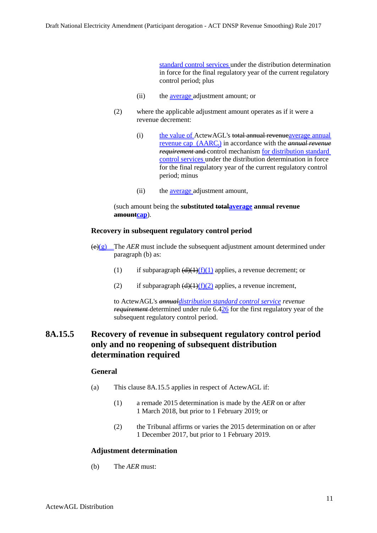standard control services under the distribution determination in force for the final regulatory year of the current regulatory control period; plus

- (ii) the average adjustment amount; or
- (2) where the applicable adjustment amount operates as if it were a revenue decrement:
	- (i) the value of ActewAGL's total annual revenueaverage annual revenue cap (AARC<sub>t</sub>) in accordance with the *annual revenue requirement* and control mechanism for distribution standard control services under the distribution determination in force for the final regulatory year of the current regulatory control period; minus
	- (ii) the average adjustment amount,

(such amount being the **substituted totalaverage annual revenue amountcap**).

#### **Recovery in subsequent regulatory control period**

- <span id="page-29-5"></span> $\left(\frac{\Theta(\varrho)}{\Theta} \right)$  The *AER* must include the subsequent adjustment amount determined under paragraph [\(b\)](#page-27-4) as:
	- (1) if subparagraph  $\left(\frac{d}{f}\right)\left(\frac{f}{1}\right)$  applies, a revenue decrement; or
	- (2) if subparagraph  $(d)(1)(f)(2)$  applies, a revenue increment,

to ActewAGL's *annualdistribution standard control service revenue requirement* determined under rule 6.426 for the first regulatory year of the subsequent regulatory control period.

# <span id="page-29-0"></span>**8A.15.5 Recovery of revenue in subsequent regulatory control period only and no reopening of subsequent distribution determination required**

### **General**

- <span id="page-29-3"></span><span id="page-29-1"></span>(a) This clause [8A.15.5](#page-29-0) applies in respect of ActewAGL if:
	- (1) a remade 2015 determination is made by the *AER* on or after 1 March 2018, but prior to 1 February 2019; or
	- (2) the Tribunal affirms or varies the 2015 determination on or after 1 December 2017, but prior to 1 February 2019.

#### <span id="page-29-2"></span>**Adjustment determination**

<span id="page-29-4"></span>(b) The *AER* must: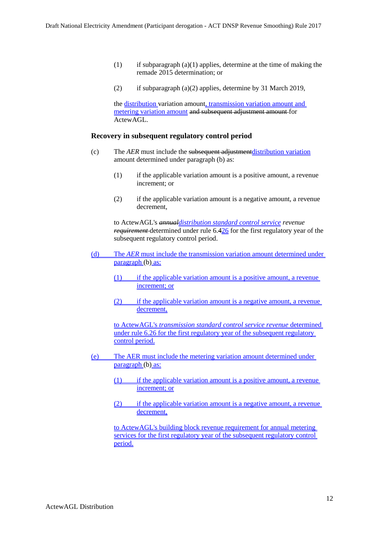- (1) if subparagraph  $(a)(1)$  applies, determine at the time of making the remade 2015 determination; or
- (2) if subparagraph [\(a\)\(2\)](#page-29-3) applies, determine by 31 March 2019,

the distribution variation amount, transmission variation amount and metering variation amount and subsequent adjustment amount for ActewAGL.

#### **Recovery in subsequent regulatory control period**

- <span id="page-30-0"></span>(c) The *AER* must include the subsequent adjustmentdistribution variation amount determined under paragraph [\(b\)](#page-29-4) as:
	- $(1)$  if the applicable variation amount is a positive amount, a revenue increment; or
	- (2) if the applicable variation amount is a negative amount, a revenue decrement,

to ActewAGL's *annualdistribution standard control service revenue requirement* determined under rule 6.426 for the first regulatory year of the subsequent regulatory control period.

- (d) The *AER* must include the transmission variation amount determined under paragraph [\(b\)](#page-29-4) as:
	- (1) if the applicable variation amount is a positive amount, a revenue increment; or
	- (2) if the applicable variation amount is a negative amount, a revenue decrement,

to ActewAGL's *transmission standard control service revenue* determined under rule 6.26 for the first regulatory year of the subsequent regulatory control period.

- (e) The AER must include the metering variation amount determined under paragraph [\(b\)](#page-29-4) as:
	- (1) if the applicable variation amount is a positive amount, a revenue increment; or
	- (2) if the applicable variation amount is a negative amount, a revenue decrement,

to ActewAGL's building block revenue requirement for annual metering services for the first regulatory year of the subsequent regulatory control period.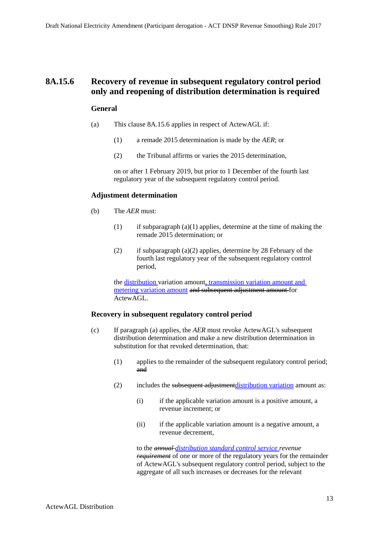### <span id="page-31-3"></span><span id="page-31-0"></span>**8A.15.6 Recovery of revenue in subsequent regulatory control period only and reopening of distribution determination is required**

#### **General**

- <span id="page-31-2"></span><span id="page-31-1"></span>(a) This clause [8A.15.6](#page-31-0) applies in respect of ActewAGL if:
	- (1) a remade 2015 determination is made by the *AER*; or
	- (2) the Tribunal affirms or varies the 2015 determination,

on or after 1 February 2019, but prior to 1 December of the fourth last regulatory year of the subsequent regulatory control period.

#### **Adjustment determination**

- (b) The *AER* must:
	- (1) if subparagraph  $(a)(1)$  applies, determine at the time of making the remade 2015 determination; or
	- (2) if subparagraph [\(a\)\(2\)](#page-31-3) applies, determine by 28 February of the fourth last regulatory year of the subsequent regulatory control period,

the distribution variation amount, transmission variation amount and metering variation amount and subsequent adjustment amount for ActewAGL.

#### **Recovery in subsequent regulatory control period**

- <span id="page-31-4"></span>(c) If paragraph [\(a\)](#page-31-3) applies, the *AER* must revoke ActewAGL's subsequent distribution determination and make a new distribution determination in substitution for that revoked determination, that:
	- (1) applies to the remainder of the subsequent regulatory control period; and
	- (2) includes the subsequent adjustment distribution variation amount as:
		- (i) if the applicable variation amount is a positive amount, a revenue increment; or
		- (ii) if the applicable variation amount is a negative amount, a revenue decrement,

to the *annual distribution standard control service revenue requirement* of one or more of the regulatory years for the remainder of ActewAGL's subsequent regulatory control period, subject to the aggregate of all such increases or decreases for the relevant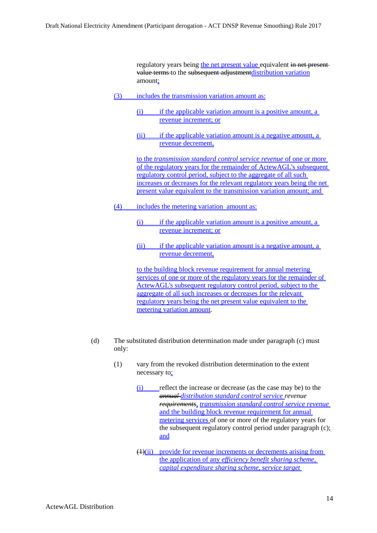regulatory years being the net present value equivalent in net presentvalue terms to the subsequent adjustment distribution variation amount:

- (3) includes the transmission variation amount as:
	- (i) if the applicable variation amount is a positive amount, a revenue increment; or
	- (ii) if the applicable variation amount is a negative amount, a revenue decrement,

to the *transmission standard control service revenue* of one or more of the regulatory years for the remainder of ActewAGL's subsequent regulatory control period, subject to the aggregate of all such increases or decreases for the relevant regulatory years being the net present value equivalent to the transmission variation amount; and

- (4) includes the metering variation amount as:
	- (i) if the applicable variation amount is a positive amount, a revenue increment; or
	- (ii) if the applicable variation amount is a negative amount, a revenue decrement,

to the building block revenue requirement for annual metering services of one or more of the regulatory years for the remainder of ActewAGL's subsequent regulatory control period, subject to the aggregate of all such increases or decreases for the relevant regulatory years being the net present value equivalent to the metering variation amount.

- (d) The substituted distribution determination made under paragraph [\(c\)](#page-31-4) must only:
	- (1) vary from the revoked distribution determination to the extent necessary to:
		- (i) reflect the increase or decrease (as the case may be) to the *annual distribution standard control service revenue requirements, transmission standard control service revenue* and the building block revenue requirement for annual metering services of one or more of the regulatory years for the subsequent regulatory control period under paragraph [\(c\);](#page-31-4) and
		- (1)(ii) provide for revenue increments or decrements arising from the application of any *efficiency benefit sharing scheme, capital expenditure sharing scheme, service target*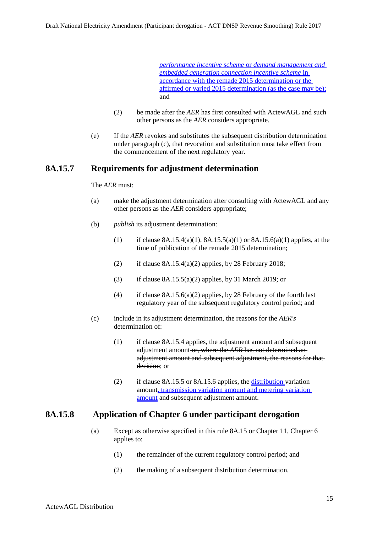*performance incentive scheme* or *demand management and embedded generation connection incentive scheme* in accordance with the remade 2015 determination or the affirmed or varied 2015 determination (as the case may be); and

- (2) be made after the *AER* has first consulted with ActewAGL and such other persons as the *AER* considers appropriate.
- (e) If the *AER* revokes and substitutes the subsequent distribution determination under paragraph [\(c\),](#page-31-4) that revocation and substitution must take effect from the commencement of the next regulatory year.

### **8A.15.7 Requirements for adjustment determination**

#### The *AER* must:

- (a) make the adjustment determination after consulting with ActewAGL and any other persons as the *AER* considers appropriate;
- (b) *publish* its adjustment determination:
	- (1) if clause [8A.15.4\(a\)\(1\),](#page-27-0) [8A.15.5\(a\)\(1\)](#page-29-1) or [8A.15.6\(a\)\(1\)](#page-31-1) applies, at the time of publication of the remade 2015 determination;
	- (2) if clause  $8A.15.4(a)(2)$  applies, by 28 February 2018;
	- (3) if clause  $8A.15.5(a)(2)$  applies, by 31 March 2019; or
	- (4) if clause  $8A.15.6(a)(2)$  applies, by 28 February of the fourth last regulatory year of the subsequent regulatory control period; and
- (c) include in its adjustment determination, the reasons for the *AER's*  determination of:
	- (1) if clause [8A.15.4](#page-27-2) applies, the adjustment amount and subsequent adjustment amount or, where the *AER* has not determined an adjustment amount and subsequent adjustment, the reasons for that decision; or
	- (2) if clause [8A.15.5](#page-29-0) or [8A.15.6](#page-31-0) applies, the distribution variation amount, transmission variation amount and metering variation amount and subsequent adjustment amount.

### **8A.15.8 Application of Chapter 6 under participant derogation**

- (a) Except as otherwise specified in this rule [8A.15](#page-20-0) or Chapter 11, Chapter 6 applies to:
	- (1) the remainder of the current regulatory control period; and
	- (2) the making of a subsequent distribution determination,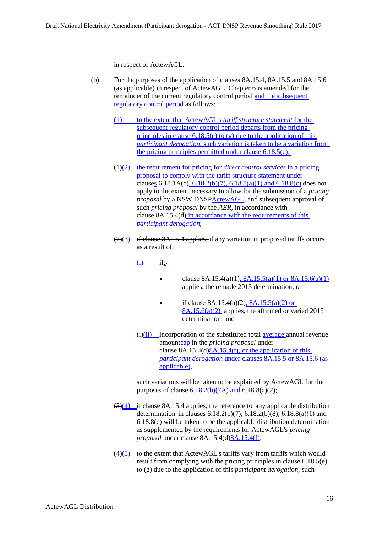in respect of ActewAGL.

- (b) For the purposes of the application of clauses [8A.15.4,](#page-27-2) [8A.15.5](#page-29-0) and [8A.15.6](#page-31-0) (as applicable) in respect of ActewAGL, Chapter 6 is amended for the remainder of the current regulatory control period and the subsequent regulatory control period as follows:
	- (1) to the extent that ActewAGL's *tariff structure statement* for the subsequent regulatory control period departs from the pricing principles in clause  $6.18.5(e)$  to (g) due to the application of this *participant derogation*, such variation is taken to be a variation from the pricing principles permitted under clause  $6.18.5(c)$ ;
	- (1)(2) the requirement for pricing for *direct control services* in a pricing proposal to comply with the tariff structure statement under clauses 6.18.1A(c),  $6.18.2(b)(7)$ ,  $6.18.8(a)(1)$  and  $6.18.8(c)$  does not apply to the extent necessary to allow for the submission of a *pricing proposal* by a NSW DNSPActewAGL, and subsequent approval of such *pricing proposal* by the *AER*, in accordance with clause 8A.15.4(d) in accordance with the requirements of this *participant derogation*;
	- $(2)(3)$  if clause [8A.15.4](#page-27-2) applies, if any variation in proposed tariffs occurs as a result of:

 $(i)$  if:

- clause [8A.15.4\(a\)\(1\),](#page-27-0) 8A.15.5(a)(1) or 8A.15.6(a)(1) applies, the remade 2015 determination; or
- if-clause  $8A.15.4(a)(2)$ ,  $8A.15.5(a)(2)$  or  $8A.15.6(a)(2)$  applies, the affirmed or varied 2015 determination; and
- $\overrightarrow{(i)}$ (ii) incorporation of the substituted total average annual revenue amountcap in the *pricing proposal* under clause 8A.15.4(d)8A.15.4(f), or the application of this *participant derogation* under clauses 8A.15.5 or 8A.15.6 (as applicable),

such variations will be taken to be explained by ActewAGL for the purposes of clause  $6.18.2(b)(7A)$  and  $6.18.8(a)(2)$ ;

- $\left(\frac{3}{4}\right)$  if clause [8A.15.4](#page-27-2) applies, the reference to 'any applicable distribution determination' in clauses 6.18.2(b)(7), 6.18.2(b)(8), 6.18.8(a)(1) and 6.18.8(c) will be taken to be the applicable distribution determination as supplemented by the requirements for ActewAGL's *pricing proposal* under clause 8A.15.4(d)8A.15.4(f);
- $\left(4\right)\left(5\right)$  to the extent that ActewAGL's tariffs vary from tariffs which would result from complying with the pricing principles in clause 6.18.5(e) to (g) due to the application of this *participant derogation*, such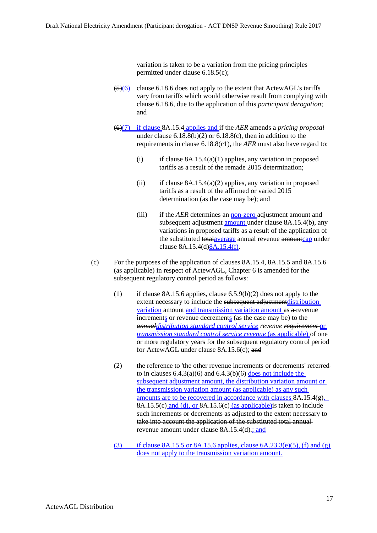variation is taken to be a variation from the pricing principles permitted under clause 6.18.5(c);

- $(5)(6)$  clause 6.18.6 does not apply to the extent that ActewAGL's tariffs vary from tariffs which would otherwise result from complying with clause 6.18.6, due to the application of this *participant derogation*; and
- (6)(7) if clause [8A.15.4](#page-27-2) applies and if the *AER* amends a *pricing proposal* under clause  $6.18.8(b)(2)$  or  $6.18.8(c)$ , then in addition to the requirements in clause 6.18.8(c1), the *AER* must also have regard to:
	- (i) if clause  $8A.15.4(a)(1)$  applies, any variation in proposed tariffs as a result of the remade 2015 determination;
	- (ii) if clause  $8A.15.4(a)(2)$  applies, any variation in proposed tariffs as a result of the affirmed or varied 2015 determination (as the case may be); and
	- (iii) if the *AER* determines an non-zero adjustment amount and subsequent adjustment **amount** under clause [8A.15.4\(b\),](#page-27-4) any variations in proposed tariffs as a result of the application of the substituted totalaverage annual revenue amountcap under clause 8A.15.4(d)8A.15.4(f).
- (c) For the purposes of the application of clauses [8A.15.4,](#page-27-2) [8A.15.5](#page-29-0) and [8A.15.6](#page-31-0) (as applicable) in respect of ActewAGL, Chapter 6 is amended for the subsequent regulatory control period as follows:
	- (1) if clause 8A.15.6 applies, clause 6.5.9(b)(2) does not apply to the extent necessary to include the subsequent adjustment distribution variation amount and transmission variation amount as a revenue increments or revenue decrements (as the case may be) to the *annualdistribution standard control service revenue requirement* or *transmission standard control service revenue* (as applicable) of one or more regulatory years for the subsequent regulatory control period for ActewAGL under clause 8A.15.6(c); and
	- (2) the reference to 'the other revenue increments or decrements' referred  $\overline{\text{to}-\text{in}}$  clauses 6.4.3(a)(6) and 6.4.3(b)(6) does not include the subsequent adjustment amount, the distribution variation amount or the transmission variation amount (as applicable) as any such amounts are to be recovered in accordance with clauses [8A.15.4\(g\),](#page-29-5) [8A.15.5\(c\)](#page-30-0) and (d), or [8A.15.6\(c\)](#page-31-4) (as applicable) is taken to include such increments or decrements as adjusted to the extent necessary totake into account the application of the substituted total annualrevenue amount under clause 8A.15.4(d).; and
	- (3) if clause 8A.15.5 or 8A.15.6 applies, clause  $6A.23.3(e)(5)$ , (f) and (g) does not apply to the transmission variation amount.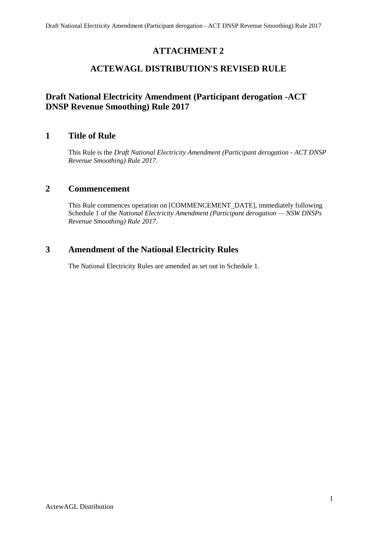# **ATTACHMENT 2**

# **ACTEWAGL DISTRIBUTION'S REVISED RULE**

# **Draft National Electricity Amendment (Participant derogation -ACT DNSP Revenue Smoothing) Rule 2017**

# **1 Title of Rule**

This Rule is the *Draft National Electricity Amendment (Participant derogation - ACT DNSP Revenue Smoothing) Rule 2017*.

# **2 Commencement**

This Rule commences operation on [COMMENCEMENT\_DATE], immediately following Schedule 1 of the *National Electricity Amendment (Participant derogation — NSW DNSPs Revenue Smoothing) Rule 2017*.

# **3 Amendment of the National Electricity Rules**

The National Electricity Rules are amended as set out in Schedule 1.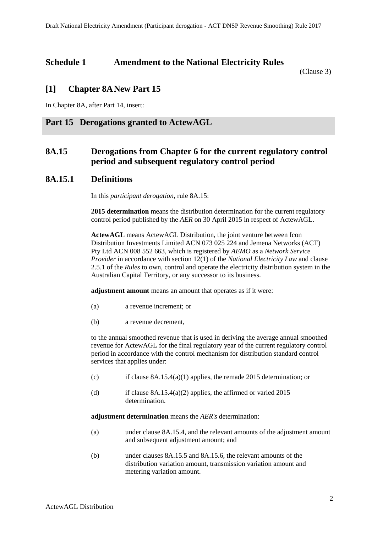# **Schedule 1 Amendment to the National Electricity Rules**

(Clause 3)

# **[1] Chapter 8ANew Part 15**

In Chapter 8A, after Part 14, insert:

# **Part 15 Derogations granted to ActewAGL**

# <span id="page-37-0"></span>**8A.15 Derogations from Chapter 6 for the current regulatory control period and subsequent regulatory control period**

### **8A.15.1 Definitions**

In this *participant derogation*, rule 8A.15:

**2015 determination** means the distribution determination for the current regulatory control period published by the *AER* on 30 April 2015 in respect of ActewAGL.

**ActewAGL** means ActewAGL Distribution, the joint venture between Icon Distribution Investments Limited ACN 073 025 224 and Jemena Networks (ACT) Pty Ltd ACN 008 552 663, which is registered by *AEMO* as a *Network Service Provider* in accordance with section 12(1) of the *National Electricity Law* and clause 2.5.1 of the *Rules* to own, control and operate the electricity distribution system in the Australian Capital Territory, or any successor to its business.

**adjustment amount** means an amount that operates as if it were:

- (a) a revenue increment; or
- (b) a revenue decrement,

to the annual smoothed revenue that is used in deriving the average annual smoothed revenue for ActewAGL for the final regulatory year of the current regulatory control period in accordance with the control mechanism for distribution standard control services that applies under:

- (c) if clause [8A.15.4\(a\)\(1\)](#page-42-0) applies, the remade 2015 determination; or
- (d) if clause  $8A.15.4(a)(2)$  applies, the affirmed or varied 2015 determination.

**adjustment determination** means the *AER's* determination:

- (a) under clause [8A.15.4,](#page-42-2) and the relevant amounts of the adjustment amount and subsequent adjustment amount; and
- (b) under clauses [8A.15.5](#page-44-0) and [8A.15.6,](#page-45-0) the relevant amounts of the distribution variation amount, transmission variation amount and metering variation amount.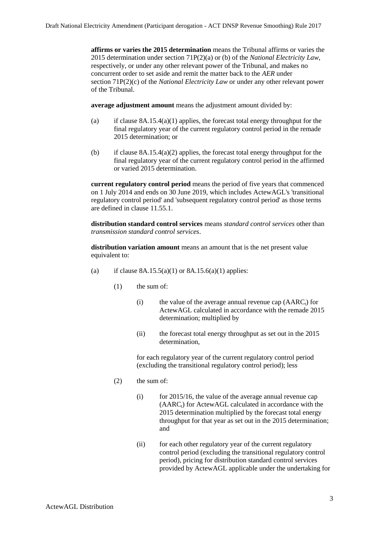**affirms or varies the 2015 determination** means the Tribunal affirms or varies the 2015 determination under section 71P(2)(a) or (b) of the *National Electricity Law*, respectively, or under any other relevant power of the Tribunal, and makes no concurrent order to set aside and remit the matter back to the *AER* under section 71P(2)(c) of the *National Electricity Law* or under any other relevant power of the Tribunal.

**average adjustment amount** means the adjustment amount divided by:

- (a) if clause  $8A.15.4(a)(1)$  applies, the forecast total energy throughput for the final regulatory year of the current regulatory control period in the remade 2015 determination; or
- (b) if clause  $8A.15.4(a)(2)$  applies, the forecast total energy throughput for the final regulatory year of the current regulatory control period in the affirmed or varied 2015 determination.

**current regulatory control period** means the period of five years that commenced on 1 July 2014 and ends on 30 June 2019, which includes ActewAGL's 'transitional regulatory control period' and 'subsequent regulatory control period' as those terms are defined in clause 11.55.1.

**distribution standard control services** means *standard control services* other than *transmission standard control services*.

**distribution variation amount** means an amount that is the net present value equivalent to:

- (a) if clause  $8A.15.5(a)(1)$  or  $8A.15.6(a)(1)$  applies:
	- (1) the sum of:
		- (i) the value of the average annual revenue cap  $(AARC_t)$  for ActewAGL calculated in accordance with the remade 2015 determination; multiplied by
		- (ii) the forecast total energy throughput as set out in the 2015 determination,

for each regulatory year of the current regulatory control period (excluding the transitional regulatory control period); less

- (2) the sum of:
	- $(i)$  for 2015/16, the value of the average annual revenue cap  $(AARC<sub>t</sub>)$  for ActewAGL calculated in accordance with the 2015 determination multiplied by the forecast total energy throughput for that year as set out in the 2015 determination; and
	- (ii) for each other regulatory year of the current regulatory control period (excluding the transitional regulatory control period), pricing for distribution standard control services provided by ActewAGL applicable under the undertaking for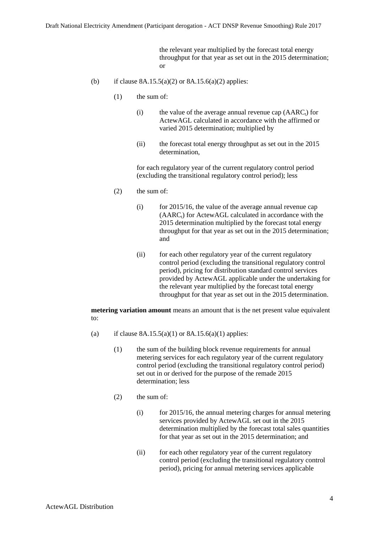the relevant year multiplied by the forecast total energy throughput for that year as set out in the 2015 determination; or

- (b) if clause  $8A.15.5(a)(2)$  or  $8A.15.6(a)(2)$  applies:
	- (1) the sum of:
		- (i) the value of the average annual revenue cap  $(AARC_t)$  for ActewAGL calculated in accordance with the affirmed or varied 2015 determination; multiplied by
		- (ii) the forecast total energy throughput as set out in the 2015 determination,

for each regulatory year of the current regulatory control period (excluding the transitional regulatory control period); less

- (2) the sum of:
	- $(i)$  for 2015/16, the value of the average annual revenue cap  $(AARC_i)$  for ActewAGL calculated in accordance with the 2015 determination multiplied by the forecast total energy throughput for that year as set out in the 2015 determination; and
	- (ii) for each other regulatory year of the current regulatory control period (excluding the transitional regulatory control period), pricing for distribution standard control services provided by ActewAGL applicable under the undertaking for the relevant year multiplied by the forecast total energy throughput for that year as set out in the 2015 determination.

**metering variation amount** means an amount that is the net present value equivalent to:

- (a) if clause  $8A.15.5(a)(1)$  or  $8A.15.6(a)(1)$  applies:
	- (1) the sum of the building block revenue requirements for annual metering services for each regulatory year of the current regulatory control period (excluding the transitional regulatory control period) set out in or derived for the purpose of the remade 2015 determination; less
	- (2) the sum of:
		- $(i)$  for 2015/16, the annual metering charges for annual metering services provided by ActewAGL set out in the 2015 determination multiplied by the forecast total sales quantities for that year as set out in the 2015 determination; and
		- (ii) for each other regulatory year of the current regulatory control period (excluding the transitional regulatory control period), pricing for annual metering services applicable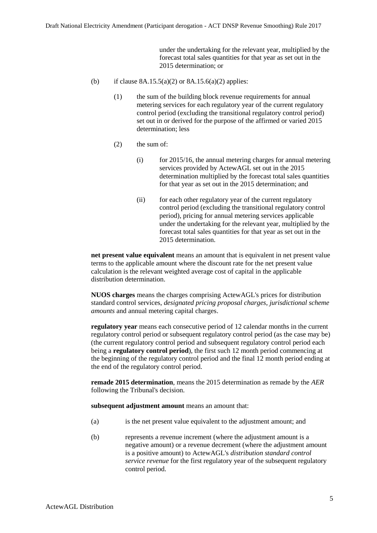under the undertaking for the relevant year, multiplied by the forecast total sales quantities for that year as set out in the 2015 determination; or

- (b) if clause  $8A.15.5(a)(2)$  or  $8A.15.6(a)(2)$  applies:
	- (1) the sum of the building block revenue requirements for annual metering services for each regulatory year of the current regulatory control period (excluding the transitional regulatory control period) set out in or derived for the purpose of the affirmed or varied 2015 determination; less
	- (2) the sum of:
		- $(i)$  for 2015/16, the annual metering charges for annual metering services provided by ActewAGL set out in the 2015 determination multiplied by the forecast total sales quantities for that year as set out in the 2015 determination; and
		- (ii) for each other regulatory year of the current regulatory control period (excluding the transitional regulatory control period), pricing for annual metering services applicable under the undertaking for the relevant year, multiplied by the forecast total sales quantities for that year as set out in the 2015 determination.

**net present value equivalent** means an amount that is equivalent in net present value terms to the applicable amount where the discount rate for the net present value calculation is the relevant weighted average cost of capital in the applicable distribution determination.

**NUOS charges** means the charges comprising ActewAGL's prices for distribution standard control services, *designated pricing proposal charges*, *jurisdictional scheme amounts* and annual metering capital charges.

**regulatory year** means each consecutive period of 12 calendar months in the current regulatory control period or subsequent regulatory control period (as the case may be) (the current regulatory control period and subsequent regulatory control period each being a **regulatory control period**), the first such 12 month period commencing at the beginning of the regulatory control period and the final 12 month period ending at the end of the regulatory control period.

**remade 2015 determination**, means the 2015 determination as remade by the *AER* following the Tribunal's decision.

**subsequent adjustment amount** means an amount that:

- (a) is the net present value equivalent to the adjustment amount; and
- (b) represents a revenue increment (where the adjustment amount is a negative amount) or a revenue decrement (where the adjustment amount is a positive amount) to ActewAGL's *distribution standard control service revenue* for the first regulatory year of the subsequent regulatory control period.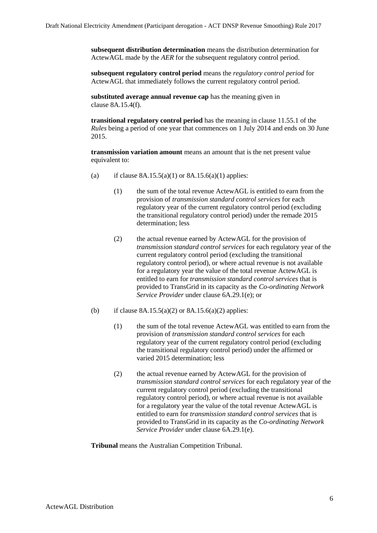**subsequent distribution determination** means the distribution determination for ActewAGL made by the *AER* for the subsequent regulatory control period.

**subsequent regulatory control period** means the *regulatory control period* for ActewAGL that immediately follows the current regulatory control period.

**substituted average annual revenue cap** has the meaning given in clause 8A.15.4(f).

**transitional regulatory control period** has the meaning in clause 11.55.1 of the *Rules* being a period of one year that commences on 1 July 2014 and ends on 30 June 2015.

**transmission variation amount** means an amount that is the net present value equivalent to:

- (a) if clause  $8A.15.5(a)(1)$  or  $8A.15.6(a)(1)$  applies:
	- (1) the sum of the total revenue ActewAGL is entitled to earn from the provision of *transmission standard control services* for each regulatory year of the current regulatory control period (excluding the transitional regulatory control period) under the remade 2015 determination; less
	- (2) the actual revenue earned by ActewAGL for the provision of *transmission standard control services* for each regulatory year of the current regulatory control period (excluding the transitional regulatory control period), or where actual revenue is not available for a regulatory year the value of the total revenue ActewAGL is entitled to earn for *transmission standard control services* that is provided to TransGrid in its capacity as the *Co-ordinating Network Service Provider* under clause 6A.29.1(e); or
- (b) if clause  $8A.15.5(a)(2)$  or  $8A.15.6(a)(2)$  applies:
	- (1) the sum of the total revenue ActewAGL was entitled to earn from the provision of *transmission standard control services* for each regulatory year of the current regulatory control period (excluding the transitional regulatory control period) under the affirmed or varied 2015 determination; less
	- (2) the actual revenue earned by ActewAGL for the provision of *transmission standard control services* for each regulatory year of the current regulatory control period (excluding the transitional regulatory control period), or where actual revenue is not available for a regulatory year the value of the total revenue ActewAGL is entitled to earn for *transmission standard control services* that is provided to TransGrid in its capacity as the *Co-ordinating Network Service Provider* under clause 6A.29.1(e).

**Tribunal** means the Australian Competition Tribunal.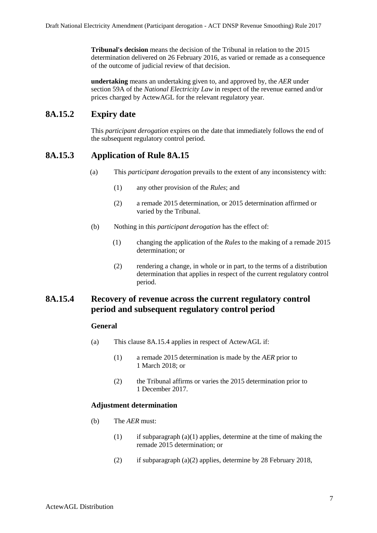**Tribunal's decision** means the decision of the Tribunal in relation to the 2015 determination delivered on 26 February 2016, as varied or remade as a consequence of the outcome of judicial review of that decision.

**undertaking** means an undertaking given to, and approved by, the *AER* under section 59A of the *National Electricity Law* in respect of the revenue earned and/or prices charged by ActewAGL for the relevant regulatory year.

# **8A.15.2 Expiry date**

This *participant derogation* expires on the date that immediately follows the end of the subsequent regulatory control period.

# **8A.15.3 Application of Rule 8A.15**

- (a) This *participant derogation* prevails to the extent of any inconsistency with:
	- (1) any other provision of the *Rules*; and
	- (2) a remade 2015 determination, or 2015 determination affirmed or varied by the Tribunal.
- (b) Nothing in this *participant derogation* has the effect of:
	- (1) changing the application of the *Rules* to the making of a remade 2015 determination; or
	- (2) rendering a change, in whole or in part, to the terms of a distribution determination that applies in respect of the current regulatory control period.

### <span id="page-42-3"></span><span id="page-42-2"></span>**8A.15.4 Recovery of revenue across the current regulatory control period and subsequent regulatory control period**

#### **General**

- <span id="page-42-0"></span>(a) This clause [8A.15.4](#page-42-2) applies in respect of ActewAGL if:
	- (1) a remade 2015 determination is made by the *AER* prior to 1 March 2018; or
	- (2) the Tribunal affirms or varies the 2015 determination prior to 1 December 2017.

### <span id="page-42-1"></span>**Adjustment determination**

- <span id="page-42-4"></span>(b) The *AER* must:
	- (1) if subparagraph  $(a)(1)$  applies, determine at the time of making the remade 2015 determination; or
	- (2) if subparagraph [\(a\)\(2\)](#page-42-3) applies, determine by 28 February 2018,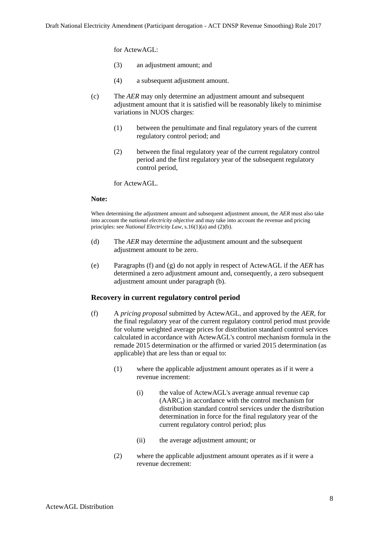for ActewAGL:

- (3) an adjustment amount; and
- (4) a subsequent adjustment amount.
- (c) The *AER* may only determine an adjustment amount and subsequent adjustment amount that it is satisfied will be reasonably likely to minimise variations in NUOS charges:
	- (1) between the penultimate and final regulatory years of the current regulatory control period; and
	- (2) between the final regulatory year of the current regulatory control period and the first regulatory year of the subsequent regulatory control period,

for ActewAGL.

#### **Note:**

When determining the adjustment amount and subsequent adjustment amount, the *AER* must also take into account the *national electricity objective* and may take into account the revenue and pricing principles: see *National Electricity Law*, s.16(1)(a) and (2)(b).

- (d) The *AER* may determine the adjustment amount and the subsequent adjustment amount to be zero.
- (e) Paragraphs (f) and (g) do not apply in respect of ActewAGL if the *AER* has determined a zero adjustment amount and, consequently, a zero subsequent adjustment amount under paragraph [\(b\).](#page-42-4)

#### **Recovery in current regulatory control period**

- (f) A *pricing proposal* submitted by ActewAGL, and approved by the *AER*, for the final regulatory year of the current regulatory control period must provide for volume weighted average prices for distribution standard control services calculated in accordance with ActewAGL's control mechanism formula in the remade 2015 determination or the affirmed or varied 2015 determination (as applicable) that are less than or equal to:
	- (1) where the applicable adjustment amount operates as if it were a revenue increment:
		- (i) the value of ActewAGL's average annual revenue cap  $(AARC<sub>t</sub>)$  in accordance with the control mechanism for distribution standard control services under the distribution determination in force for the final regulatory year of the current regulatory control period; plus
		- (ii) the average adjustment amount; or
	- (2) where the applicable adjustment amount operates as if it were a revenue decrement: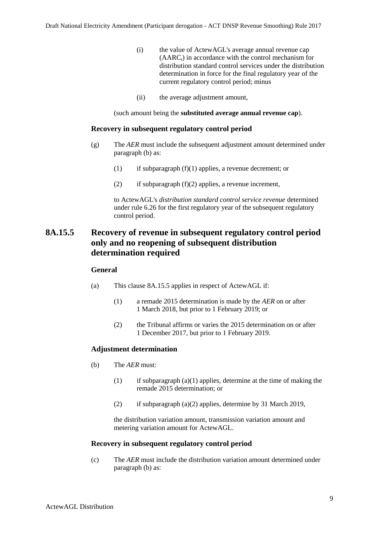- (i) the value of ActewAGL's average annual revenue cap  $(AARC<sub>t</sub>)$  in accordance with the control mechanism for distribution standard control services under the distribution determination in force for the final regulatory year of the current regulatory control period; minus
- (ii) the average adjustment amount,

(such amount being the **substituted average annual revenue cap**).

#### **Recovery in subsequent regulatory control period**

- <span id="page-44-5"></span>(g) The *AER* must include the subsequent adjustment amount determined under paragraph [\(b\)](#page-42-4) as:
	- (1) if subparagraph  $(f)(1)$  applies, a revenue decrement; or
	- (2) if subparagraph  $(f)(2)$  applies, a revenue increment,

to ActewAGL's *distribution standard control service revenue* determined under rule 6.26 for the first regulatory year of the subsequent regulatory control period.

# <span id="page-44-0"></span>**8A.15.5 Recovery of revenue in subsequent regulatory control period only and no reopening of subsequent distribution determination required**

#### **General**

- <span id="page-44-3"></span><span id="page-44-1"></span>(a) This clause [8A.15.5](#page-44-0) applies in respect of ActewAGL if:
	- (1) a remade 2015 determination is made by the *AER* on or after 1 March 2018, but prior to 1 February 2019; or
	- (2) the Tribunal affirms or varies the 2015 determination on or after 1 December 2017, but prior to 1 February 2019.

#### <span id="page-44-2"></span>**Adjustment determination**

- <span id="page-44-4"></span>(b) The *AER* must:
	- (1) if subparagraph  $(a)(1)$  applies, determine at the time of making the remade 2015 determination; or
	- (2) if subparagraph [\(a\)\(2\)](#page-44-3) applies, determine by 31 March 2019,

the distribution variation amount, transmission variation amount and metering variation amount for ActewAGL.

#### **Recovery in subsequent regulatory control period**

<span id="page-44-6"></span>(c) The *AER* must include the distribution variation amount determined under paragraph [\(b\)](#page-44-4) as: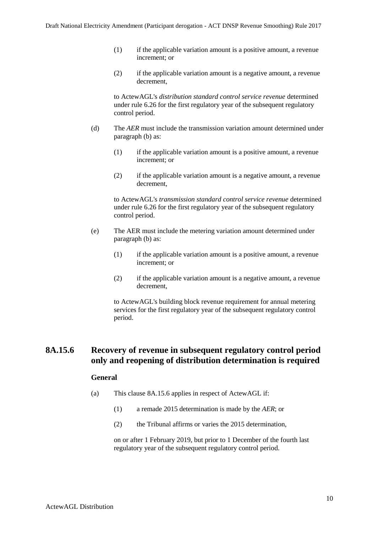- (1) if the applicable variation amount is a positive amount, a revenue increment; or
- (2) if the applicable variation amount is a negative amount, a revenue decrement,

to ActewAGL's *distribution standard control service revenue* determined under rule 6.26 for the first regulatory year of the subsequent regulatory control period.

- (d) The *AER* must include the transmission variation amount determined under paragraph [\(b\)](#page-44-4) as:
	- $(1)$  if the applicable variation amount is a positive amount, a revenue increment; or
	- (2) if the applicable variation amount is a negative amount, a revenue decrement,

to ActewAGL's *transmission standard control service revenue* determined under rule 6.26 for the first regulatory year of the subsequent regulatory control period.

- (e) The AER must include the metering variation amount determined under paragraph [\(b\)](#page-44-4) as:
	- $(1)$  if the applicable variation amount is a positive amount, a revenue increment; or
	- (2) if the applicable variation amount is a negative amount, a revenue decrement,

to ActewAGL's building block revenue requirement for annual metering services for the first regulatory year of the subsequent regulatory control period.

# <span id="page-45-3"></span><span id="page-45-0"></span>**8A.15.6 Recovery of revenue in subsequent regulatory control period only and reopening of distribution determination is required**

### **General**

- <span id="page-45-2"></span><span id="page-45-1"></span>(a) This clause [8A.15.6](#page-45-0) applies in respect of ActewAGL if:
	- (1) a remade 2015 determination is made by the *AER*; or
	- (2) the Tribunal affirms or varies the 2015 determination,

on or after 1 February 2019, but prior to 1 December of the fourth last regulatory year of the subsequent regulatory control period.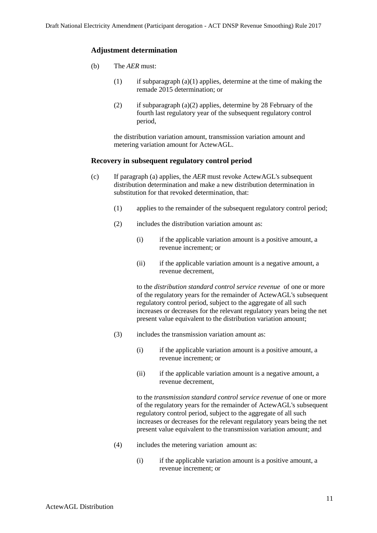#### **Adjustment determination**

- (b) The *AER* must:
	- (1) if subparagraph  $(a)(1)$  applies, determine at the time of making the remade 2015 determination; or
	- (2) if subparagraph  $(a)(2)$  applies, determine by 28 February of the fourth last regulatory year of the subsequent regulatory control period,

the distribution variation amount, transmission variation amount and metering variation amount for ActewAGL.

#### **Recovery in subsequent regulatory control period**

- <span id="page-46-0"></span>(c) If paragraph [\(a\)](#page-45-3) applies, the *AER* must revoke ActewAGL's subsequent distribution determination and make a new distribution determination in substitution for that revoked determination, that:
	- (1) applies to the remainder of the subsequent regulatory control period;
	- (2) includes the distribution variation amount as:
		- (i) if the applicable variation amount is a positive amount, a revenue increment; or
		- (ii) if the applicable variation amount is a negative amount, a revenue decrement,

to the *distribution standard control service revenue* of one or more of the regulatory years for the remainder of ActewAGL's subsequent regulatory control period, subject to the aggregate of all such increases or decreases for the relevant regulatory years being the net present value equivalent to the distribution variation amount;

- (3) includes the transmission variation amount as:
	- (i) if the applicable variation amount is a positive amount, a revenue increment; or
	- (ii) if the applicable variation amount is a negative amount, a revenue decrement,

to the *transmission standard control service revenue* of one or more of the regulatory years for the remainder of ActewAGL's subsequent regulatory control period, subject to the aggregate of all such increases or decreases for the relevant regulatory years being the net present value equivalent to the transmission variation amount; and

- (4) includes the metering variation amount as:
	- (i) if the applicable variation amount is a positive amount, a revenue increment; or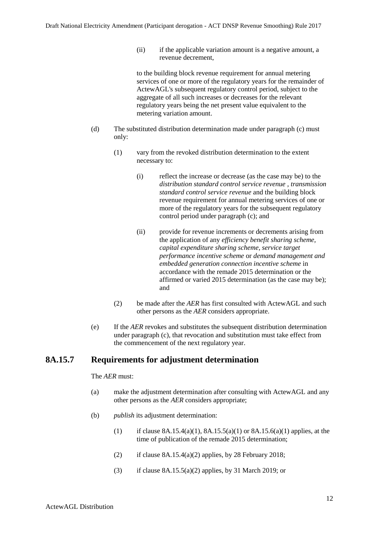(ii) if the applicable variation amount is a negative amount, a revenue decrement,

to the building block revenue requirement for annual metering services of one or more of the regulatory years for the remainder of ActewAGL's subsequent regulatory control period, subject to the aggregate of all such increases or decreases for the relevant regulatory years being the net present value equivalent to the metering variation amount.

- (d) The substituted distribution determination made under paragraph [\(c\)](#page-46-0) must only:
	- (1) vary from the revoked distribution determination to the extent necessary to:
		- (i) reflect the increase or decrease (as the case may be) to the *distribution standard control service revenue , transmission standard control service revenue* and the building block revenue requirement for annual metering services of one or more of the regulatory years for the subsequent regulatory control period under paragraph [\(c\);](#page-46-0) and
		- (ii) provide for revenue increments or decrements arising from the application of any *efficiency benefit sharing scheme, capital expenditure sharing scheme, service target performance incentive scheme* or *demand management and embedded generation connection incentive scheme* in accordance with the remade 2015 determination or the affirmed or varied 2015 determination (as the case may be); and
	- (2) be made after the *AER* has first consulted with ActewAGL and such other persons as the *AER* considers appropriate.
- (e) If the *AER* revokes and substitutes the subsequent distribution determination under paragraph [\(c\),](#page-46-0) that revocation and substitution must take effect from the commencement of the next regulatory year.

# **8A.15.7 Requirements for adjustment determination**

#### The *AER* must:

- (a) make the adjustment determination after consulting with ActewAGL and any other persons as the *AER* considers appropriate;
- (b) *publish* its adjustment determination:
	- (1) if clause  $8A.15.4(a)(1)$ ,  $8A.15.5(a)(1)$  or  $8A.15.6(a)(1)$  applies, at the time of publication of the remade 2015 determination;
	- (2) if clause  $8A.15.4(a)(2)$  applies, by 28 February 2018;
	- (3) if clause  $8A.15.5(a)(2)$  applies, by 31 March 2019; or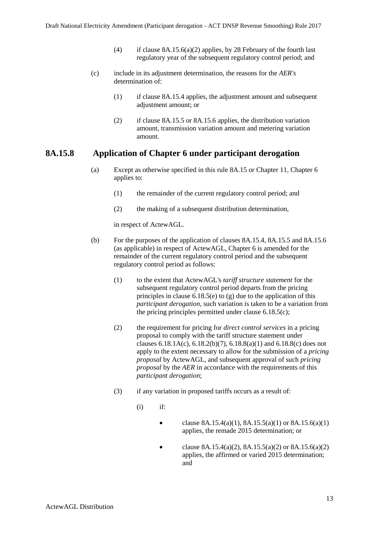- (4) if clause  $8A.15.6(a)(2)$  applies, by 28 February of the fourth last regulatory year of the subsequent regulatory control period; and
- (c) include in its adjustment determination, the reasons for the *AER's*  determination of:
	- (1) if clause [8A.15.4](#page-42-2) applies, the adjustment amount and subsequent adjustment amount; or
	- (2) if clause [8A.15.5](#page-44-0) or [8A.15.6](#page-45-0) applies, the distribution variation amount, transmission variation amount and metering variation amount.

### **8A.15.8 Application of Chapter 6 under participant derogation**

- (a) Except as otherwise specified in this rule [8A.15](#page-37-0) or Chapter 11, Chapter 6 applies to:
	- (1) the remainder of the current regulatory control period; and
	- (2) the making of a subsequent distribution determination,

in respect of ActewAGL.

- (b) For the purposes of the application of clauses [8A.15.4,](#page-42-2) [8A.15.5](#page-44-0) and [8A.15.6](#page-45-0) (as applicable) in respect of ActewAGL, Chapter 6 is amended for the remainder of the current regulatory control period and the subsequent regulatory control period as follows:
	- (1) to the extent that ActewAGL's *tariff structure statement* for the subsequent regulatory control period departs from the pricing principles in clause  $6.18.5(e)$  to  $(g)$  due to the application of this *participant derogation*, such variation is taken to be a variation from the pricing principles permitted under clause 6.18.5(c);
	- (2) the requirement for pricing for *direct control services* in a pricing proposal to comply with the tariff structure statement under clauses  $6.18.1A(c)$ ,  $6.18.2(b)(7)$ ,  $6.18.8(a)(1)$  and  $6.18.8(c)$  does not apply to the extent necessary to allow for the submission of a *pricing proposal* by ActewAGL, and subsequent approval of such *pricing proposal* by the *AER* in accordance with the requirements of this *participant derogation*;
	- (3) if any variation in proposed tariffs occurs as a result of:
		- $(i)$  if:
			- clause [8A.15.4\(a\)\(1\),](#page-42-0) 8A.15.5(a)(1) or 8A.15.6(a)(1) applies, the remade 2015 determination; or
			- clause [8A.15.4\(a\)\(2\),](#page-42-1) 8A.15.5(a)(2) or 8A.15.6(a)(2) applies, the affirmed or varied 2015 determination; and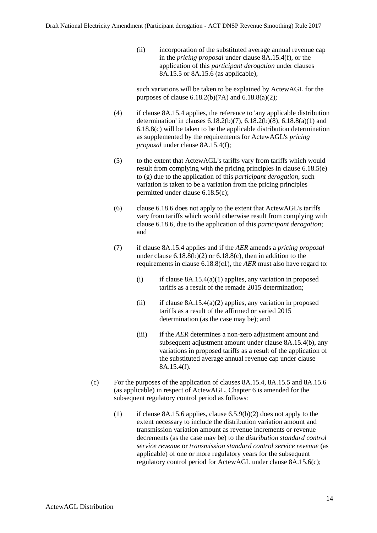(ii) incorporation of the substituted average annual revenue cap in the *pricing proposal* under clause 8A.15.4(f), or the application of this *participant derogation* under clauses 8A.15.5 or 8A.15.6 (as applicable),

such variations will be taken to be explained by ActewAGL for the purposes of clause  $6.18.2(b)(7A)$  and  $6.18.8(a)(2)$ ;

- (4) if clause [8A.15.4](#page-42-2) applies, the reference to 'any applicable distribution determination' in clauses  $6.18.2(b)(7)$ ,  $6.18.2(b)(8)$ ,  $6.18.8(a)(1)$  and 6.18.8(c) will be taken to be the applicable distribution determination as supplemented by the requirements for ActewAGL's *pricing proposal* under clause 8A.15.4(f);
- (5) to the extent that ActewAGL's tariffs vary from tariffs which would result from complying with the pricing principles in clause 6.18.5(e) to (g) due to the application of this *participant derogation*, such variation is taken to be a variation from the pricing principles permitted under clause 6.18.5(c);
- (6) clause 6.18.6 does not apply to the extent that ActewAGL's tariffs vary from tariffs which would otherwise result from complying with clause 6.18.6, due to the application of this *participant derogation*; and
- (7) if clause [8A.15.4](#page-42-2) applies and if the *AER* amends a *pricing proposal* under clause  $6.18.8(b)(2)$  or  $6.18.8(c)$ , then in addition to the requirements in clause 6.18.8(c1), the *AER* must also have regard to:
	- (i) if clause  $8A.15.4(a)(1)$  applies, any variation in proposed tariffs as a result of the remade 2015 determination;
	- (ii) if clause  $8A.15.4(a)(2)$  applies, any variation in proposed tariffs as a result of the affirmed or varied 2015 determination (as the case may be); and
	- (iii) if the *AER* determines a non-zero adjustment amount and subsequent adjustment amount under clause [8A.15.4\(b\),](#page-42-4) any variations in proposed tariffs as a result of the application of the substituted average annual revenue cap under clause 8A.15.4(f).
- (c) For the purposes of the application of clauses [8A.15.4,](#page-42-2) [8A.15.5](#page-44-0) and [8A.15.6](#page-45-0) (as applicable) in respect of ActewAGL, Chapter 6 is amended for the subsequent regulatory control period as follows:
	- (1) if clause 8A.15.6 applies, clause 6.5.9(b)(2) does not apply to the extent necessary to include the distribution variation amount and transmission variation amount as revenue increments or revenue decrements (as the case may be) to the *distribution standard control service revenue* or *transmission standard control service revenue* (as applicable) of one or more regulatory years for the subsequent regulatory control period for ActewAGL under clause 8A.15.6(c);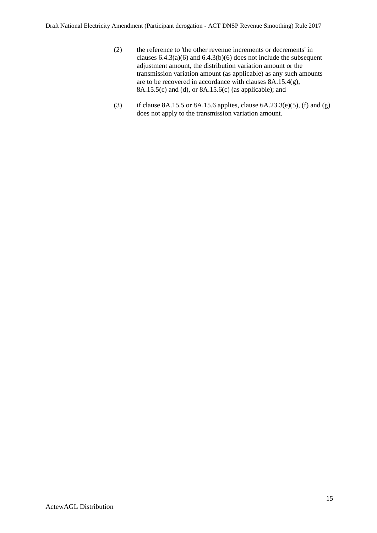- (2) the reference to 'the other revenue increments or decrements' in clauses  $6.4.3(a)(6)$  and  $6.4.3(b)(6)$  does not include the subsequent adjustment amount, the distribution variation amount or the transmission variation amount (as applicable) as any such amounts are to be recovered in accordance with clauses [8A.15.4\(g\),](#page-44-5) [8A.15.5\(c\)](#page-44-6) and (d), or [8A.15.6\(c\)](#page-46-0) (as applicable); and
- (3) if clause 8A.15.5 or 8A.15.6 applies, clause  $6A.23.3(e)(5)$ , (f) and (g) does not apply to the transmission variation amount.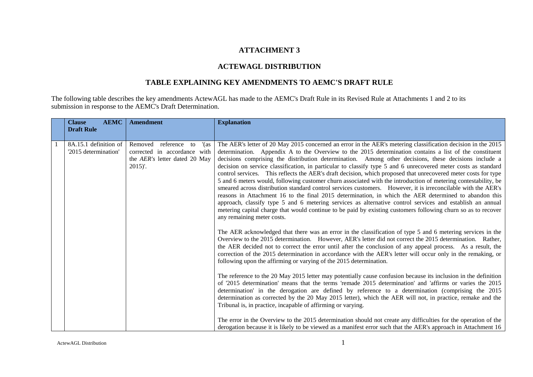### **ATTACHMENT 3**

### **ACTEWAGL DISTRIBUTION**

# **TABLE EXPLAINING KEY AMENDMENTS TO AEMC'S DRAFT RULE**

The following table describes the key amendments ActewAGL has made to the AEMC's Draft Rule in its Revised Rule at Attachments 1 and 2 to its submission in response to the AEMC's Draft Determination.

| <b>AEMC</b><br><b>Clause</b>                  | <b>Amendment</b>                                                                                                    | <b>Explanation</b>                                                                                                                                                                                                                                                                                                                                                                                                                                                                                                                                                                                                                                                                                                                                                                                                                                                                                                                                                                                                                                                                                                                                                          |
|-----------------------------------------------|---------------------------------------------------------------------------------------------------------------------|-----------------------------------------------------------------------------------------------------------------------------------------------------------------------------------------------------------------------------------------------------------------------------------------------------------------------------------------------------------------------------------------------------------------------------------------------------------------------------------------------------------------------------------------------------------------------------------------------------------------------------------------------------------------------------------------------------------------------------------------------------------------------------------------------------------------------------------------------------------------------------------------------------------------------------------------------------------------------------------------------------------------------------------------------------------------------------------------------------------------------------------------------------------------------------|
| <b>Draft Rule</b>                             |                                                                                                                     |                                                                                                                                                                                                                                                                                                                                                                                                                                                                                                                                                                                                                                                                                                                                                                                                                                                                                                                                                                                                                                                                                                                                                                             |
| 8A.15.1 definition of<br>'2015 determination' | Removed reference to<br>$'$ (as<br>corrected in accordance with<br>the <i>AER's</i> letter dated 20 May<br>$2015$ . | The AER's letter of 20 May 2015 concerned an error in the AER's metering classification decision in the 2015<br>determination. Appendix A to the Overview to the 2015 determination contains a list of the constituent<br>decisions comprising the distribution determination. Among other decisions, these decisions include a<br>decision on service classification, in particular to classify type 5 and 6 unrecovered meter costs as standard<br>control services. This reflects the AER's draft decision, which proposed that unrecovered meter costs for type<br>5 and 6 meters would, following customer churn associated with the introduction of metering contestability, be<br>smeared across distribution standard control services customers. However, it is irreconcilable with the AER's<br>reasons in Attachment 16 to the final 2015 determination, in which the AER determined to abandon this<br>approach, classify type 5 and 6 metering services as alternative control services and establish an annual<br>metering capital charge that would continue to be paid by existing customers following churn so as to recover<br>any remaining meter costs. |
|                                               |                                                                                                                     | The AER acknowledged that there was an error in the classification of type 5 and 6 metering services in the<br>Overview to the 2015 determination. However, AER's letter did not correct the 2015 determination. Rather,<br>the AER decided not to correct the error until after the conclusion of any appeal process. As a result, the<br>correction of the 2015 determination in accordance with the AER's letter will occur only in the remaking, or<br>following upon the affirming or varying of the 2015 determination.                                                                                                                                                                                                                                                                                                                                                                                                                                                                                                                                                                                                                                               |
|                                               |                                                                                                                     | The reference to the 20 May 2015 letter may potentially cause confusion because its inclusion in the definition<br>of '2015 determination' means that the terms 'remade 2015 determination' and 'affirms or varies the 2015<br>determination' in the derogation are defined by reference to a determination (comprising the 2015<br>determination as corrected by the 20 May 2015 letter), which the AER will not, in practice, remake and the<br>Tribunal is, in practice, incapable of affirming or varying.                                                                                                                                                                                                                                                                                                                                                                                                                                                                                                                                                                                                                                                              |
|                                               |                                                                                                                     | The error in the Overview to the 2015 determination should not create any difficulties for the operation of the<br>derogation because it is likely to be viewed as a manifest error such that the AER's approach in Attachment 16                                                                                                                                                                                                                                                                                                                                                                                                                                                                                                                                                                                                                                                                                                                                                                                                                                                                                                                                           |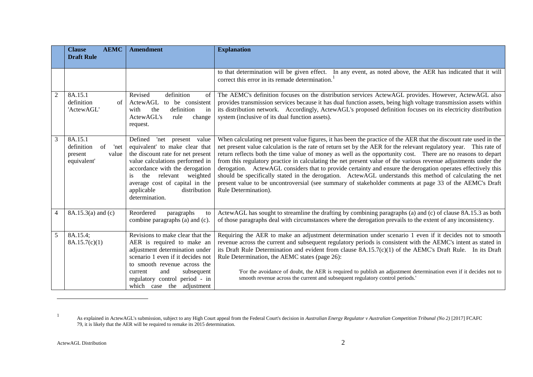|                | <b>AEMC</b><br><b>Clause</b><br><b>Draft Rule</b>                      | <b>Amendment</b>                                                                                                                                                                                                                                                                               | <b>Explanation</b>                                                                                                                                                                                                                                                                                                                                                                                                                                                                                                                                                                                                                                                                                                                                                                                                                        |
|----------------|------------------------------------------------------------------------|------------------------------------------------------------------------------------------------------------------------------------------------------------------------------------------------------------------------------------------------------------------------------------------------|-------------------------------------------------------------------------------------------------------------------------------------------------------------------------------------------------------------------------------------------------------------------------------------------------------------------------------------------------------------------------------------------------------------------------------------------------------------------------------------------------------------------------------------------------------------------------------------------------------------------------------------------------------------------------------------------------------------------------------------------------------------------------------------------------------------------------------------------|
|                |                                                                        |                                                                                                                                                                                                                                                                                                | to that determination will be given effect. In any event, as noted above, the AER has indicated that it will<br>correct this error in its remade determination.                                                                                                                                                                                                                                                                                                                                                                                                                                                                                                                                                                                                                                                                           |
| $\overline{2}$ | 8A.15.1<br>definition<br>of<br>'ActewAGL'                              | definition<br>Revised<br>of<br>ActewAGL<br>to be consistent<br>definition<br>the<br>with<br>in<br>ActewAGL's<br>rule<br>change<br>request.                                                                                                                                                     | The AEMC's definition focuses on the distribution services ActewAGL provides. However, ActewAGL also<br>provides transmission services because it has dual function assets, being high voltage transmission assets within<br>its distribution network. Accordingly, ActewAGL's proposed definition focuses on its electricity distribution<br>system (inclusive of its dual function assets).                                                                                                                                                                                                                                                                                                                                                                                                                                             |
| $\overline{3}$ | 8A.15.1<br>of<br>definition<br>'net<br>present<br>value<br>equivalent' | Defined 'net present value<br>equivalent' to make clear that<br>the discount rate for net present<br>value calculations performed in<br>accordance with the derogation<br>relevant<br>the<br>weighted<br>is.<br>average cost of capital in the<br>applicable<br>distribution<br>determination. | When calculating net present value figures, it has been the practice of the AER that the discount rate used in the<br>net present value calculation is the rate of return set by the AER for the relevant regulatory year. This rate of<br>return reflects both the time value of money as well as the opportunity cost. There are no reasons to depart<br>from this regulatory practice in calculating the net present value of the various revenue adjustments under the<br>derogation. ActewAGL considers that to provide certainty and ensure the derogation operates effectively this<br>should be specifically stated in the derogation. ActewAGL understands this method of calculating the net<br>present value to be uncontroversial (see summary of stakeholder comments at page 33 of the AEMC's Draft<br>Rule Determination). |
| $\overline{4}$ | 8A.15.3(a) and (c)                                                     | Reordered<br>paragraphs<br>to<br>combine paragraphs (a) and (c).                                                                                                                                                                                                                               | ActewAGL has sought to streamline the drafting by combining paragraphs (a) and (c) of clause 8A.15.3 as both<br>of those paragraphs deal with circumstances where the derogation prevails to the extent of any inconsistency.                                                                                                                                                                                                                                                                                                                                                                                                                                                                                                                                                                                                             |
| 5              | 8A.15.4;<br>8A.15.7(c)(1)                                              | Revisions to make clear that the<br>AER is required to make an<br>adjustment determination under<br>scenario 1 even if it decides not<br>to smooth revenue across the<br>and<br>subsequent<br>current<br>regulatory control period - in<br>which case the adjustment                           | Requiring the AER to make an adjustment determination under scenario 1 even if it decides not to smooth<br>revenue across the current and subsequent regulatory periods is consistent with the AEMC's intent as stated in<br>its Draft Rule Determination and evident from clause $8A.15.7(c)(1)$ of the AEMC's Draft Rule. In its Draft<br>Rule Determination, the AEMC states (page 26):<br>'For the avoidance of doubt, the AER is required to publish an adjustment determination even if it decides not to<br>smooth revenue across the current and subsequent regulatory control periods.                                                                                                                                                                                                                                           |

l

<sup>1</sup> As explained in ActewAGL's submission, subject to any High Court appeal from the Federal Court's decision in *Australian Energy Regulator v Australian Competition Tribunal (No 2)* [2017] FCAFC 79, it is likely that the AER will be required to remake its 2015 determination.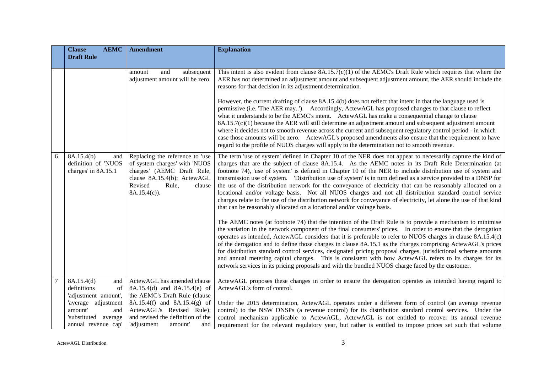|   | <b>Clause</b><br><b>AEMC</b>                                                         | <b>Amendment</b>                                                                                                                                                            | <b>Explanation</b>                                                                                                                                                                                                                                                                                                                                                                                                                                                                                                                                                                                                                                                                                                                                                                                                                                                                                                                                                                                                                                                                                                                                                                                                                                                                                                                                                                                                                                                                                                                                                                                                                                                                |
|---|--------------------------------------------------------------------------------------|-----------------------------------------------------------------------------------------------------------------------------------------------------------------------------|-----------------------------------------------------------------------------------------------------------------------------------------------------------------------------------------------------------------------------------------------------------------------------------------------------------------------------------------------------------------------------------------------------------------------------------------------------------------------------------------------------------------------------------------------------------------------------------------------------------------------------------------------------------------------------------------------------------------------------------------------------------------------------------------------------------------------------------------------------------------------------------------------------------------------------------------------------------------------------------------------------------------------------------------------------------------------------------------------------------------------------------------------------------------------------------------------------------------------------------------------------------------------------------------------------------------------------------------------------------------------------------------------------------------------------------------------------------------------------------------------------------------------------------------------------------------------------------------------------------------------------------------------------------------------------------|
|   | <b>Draft Rule</b>                                                                    |                                                                                                                                                                             |                                                                                                                                                                                                                                                                                                                                                                                                                                                                                                                                                                                                                                                                                                                                                                                                                                                                                                                                                                                                                                                                                                                                                                                                                                                                                                                                                                                                                                                                                                                                                                                                                                                                                   |
|   |                                                                                      | and<br>subsequent<br>amount<br>adjustment amount will be zero.                                                                                                              | This intent is also evident from clause $8A.15.7(c)(1)$ of the AEMC's Draft Rule which requires that where the<br>AER has not determined an adjustment amount and subsequent adjustment amount, the AER should include the<br>reasons for that decision in its adjustment determination.<br>However, the current drafting of clause 8A.15.4(b) does not reflect that intent in that the language used is<br>permissive (i.e. 'The AER may'). Accordingly, ActewAGL has proposed changes to that clause to reflect<br>what it understands to be the AEMC's intent. ActewAGL has make a consequential change to clause<br>$8A.15.7(c)(1)$ because the AER will still determine an adjustment amount and subsequent adjustment amount<br>where it decides not to smooth revenue across the current and subsequent regulatory control period - in which<br>case those amounts will be zero. ActewAGL's proposed amendments also ensure that the requirement to have<br>regard to the profile of NUOS charges will apply to the determination not to smooth revenue.                                                                                                                                                                                                                                                                                                                                                                                                                                                                                                                                                                                                                   |
| 6 | 8A.15.4(b)<br>and<br>definition of 'NUOS<br>charges' in 8A.15.1                      | Replacing the reference to 'use<br>of system charges' with 'NUOS<br>charges' (AEMC Draft Rule,<br>clause 8A.15.4(b); ActewAGL<br>Revised<br>Rule,<br>clause<br>8A.15.4(c)). | The term 'use of system' defined in Chapter 10 of the NER does not appear to necessarily capture the kind of<br>charges that are the subject of clause 8A.15.4. As the AEMC notes in its Draft Rule Determination (at<br>footnote 74), 'use of system' is defined in Chapter 10 of the NER to include distribution use of system and<br>transmission use of system. Distribution use of system' is in turn defined as a service provided to a DNSP for<br>the use of the distribution network for the conveyance of electricity that can be reasonably allocated on a<br>locational and/or voltage basis. Not all NUOS charges and not all distribution standard control service<br>charges relate to the use of the distribution network for conveyance of electricity, let alone the use of that kind<br>that can be reasonably allocated on a locational and/or voltage basis.<br>The AEMC notes (at footnote 74) that the intention of the Draft Rule is to provide a mechanism to minimise<br>the variation in the network component of the final consumers' prices. In order to ensure that the derogation<br>operates as intended, ActewAGL considers that it is preferable to refer to NUOS charges in clause 8A.15.4(c)<br>of the derogation and to define those charges in clause 8A.15.1 as the charges comprising ActewAGL's prices<br>for distribution standard control services, designated pricing proposal charges, jurisdictional scheme amounts<br>and annual metering capital charges. This is consistent with how ActewAGL refers to its charges for its<br>network services in its pricing proposals and with the bundled NUOS charge faced by the customer. |
|   | 8A.15.4(d)<br>and<br>definitions<br>of<br>'adjustment amount',                       | ActewAGL has amended clause<br>8A.15.4(d) and 8A.15.4(e) of<br>the AEMC's Draft Rule (clause                                                                                | ActewAGL proposes these changes in order to ensure the derogation operates as intended having regard to<br>ActewAGL's form of control.                                                                                                                                                                                                                                                                                                                                                                                                                                                                                                                                                                                                                                                                                                                                                                                                                                                                                                                                                                                                                                                                                                                                                                                                                                                                                                                                                                                                                                                                                                                                            |
|   | 'average adjustment<br>amount'<br>and<br>'substituted average<br>annual revenue cap' | 8A.15.4(f) and 8A.15.4(g) of<br>ActewAGL's Revised Rule);<br>and revised the definition of the<br>'adjustment<br>amount'<br>and                                             | Under the 2015 determination, ActewAGL operates under a different form of control (an average revenue<br>control) to the NSW DNSPs (a revenue control) for its distribution standard control services. Under the<br>control mechanism applicable to ActewAGL, ActewAGL is not entitled to recover its annual revenue<br>requirement for the relevant regulatory year, but rather is entitled to impose prices set such that volume                                                                                                                                                                                                                                                                                                                                                                                                                                                                                                                                                                                                                                                                                                                                                                                                                                                                                                                                                                                                                                                                                                                                                                                                                                                |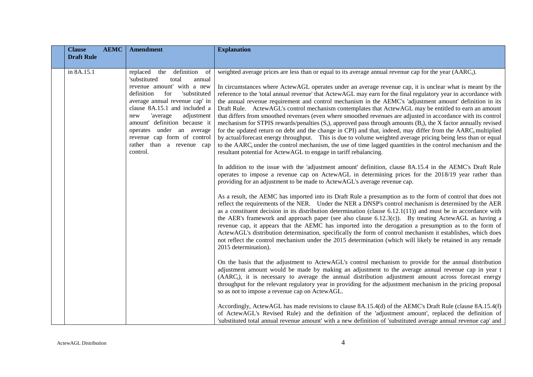| <b>Clause</b>     | <b>AEMC</b> | <b>Amendment</b>                                                                                                                                                                                                                                                                                                                                                                   | <b>Explanation</b>                                                                                                                                                                                                                                                                                                                                                                                                                                                                                                                                                                                                                                                                                                                                                                                                                                                                                                                                                                                                                                                                                                                                                                                                                                                                                                                                                                                                                                                                                                                                        |
|-------------------|-------------|------------------------------------------------------------------------------------------------------------------------------------------------------------------------------------------------------------------------------------------------------------------------------------------------------------------------------------------------------------------------------------|-----------------------------------------------------------------------------------------------------------------------------------------------------------------------------------------------------------------------------------------------------------------------------------------------------------------------------------------------------------------------------------------------------------------------------------------------------------------------------------------------------------------------------------------------------------------------------------------------------------------------------------------------------------------------------------------------------------------------------------------------------------------------------------------------------------------------------------------------------------------------------------------------------------------------------------------------------------------------------------------------------------------------------------------------------------------------------------------------------------------------------------------------------------------------------------------------------------------------------------------------------------------------------------------------------------------------------------------------------------------------------------------------------------------------------------------------------------------------------------------------------------------------------------------------------------|
| <b>Draft Rule</b> |             |                                                                                                                                                                                                                                                                                                                                                                                    |                                                                                                                                                                                                                                                                                                                                                                                                                                                                                                                                                                                                                                                                                                                                                                                                                                                                                                                                                                                                                                                                                                                                                                                                                                                                                                                                                                                                                                                                                                                                                           |
| in 8A.15.1        |             | definition<br>replaced the<br>- of<br>'substituted<br>total<br>annual<br>revenue amount' with a new<br>'substituted<br>definition<br>for<br>average annual revenue cap' in<br>clause 8A.15.1 and included a<br>adjustment<br>'average<br>new<br>amount' definition because it<br>operates under an average<br>revenue cap form of control<br>rather than a revenue cap<br>control. | weighted average prices are less than or equal to its average annual revenue cap for the year $(AARCt)$ .<br>In circumstances where ActewAGL operates under an average revenue cap, it is unclear what is meant by the<br>reference to the 'total annual revenue' that ActewAGL may earn for the final regulatory year in accordance with<br>the annual revenue requirement and control mechanism in the AEMC's 'adjustment amount' definition in its<br>Draft Rule. ActewAGL's control mechanism contemplates that ActewAGL may be entitled to earn an amount<br>that differs from smoothed revenues (even where smoothed revenues are adjusted in accordance with its control<br>mechanism for STPIS rewards/penalties $(S_t)$ , approved pass through amounts $(B_t)$ , the X factor annually revised<br>for the updated return on debt and the change in CPI) and that, indeed, may differ from the AARC <sub>t</sub> multiplied<br>by actual/forecast energy throughput. This is due to volume weighted average pricing being less than or equal<br>to the $AARC$ <sub>t</sub> under the control mechanism, the use of time lagged quantities in the control mechanism and the<br>resultant potential for ActewAGL to engage in tariff rebalancing.<br>In addition to the issue with the 'adjustment amount' definition, clause 8A.15.4 in the AEMC's Draft Rule<br>operates to impose a revenue cap on ActewAGL in determining prices for the 2018/19 year rather than<br>providing for an adjustment to be made to ActewAGL's average revenue cap. |
|                   |             |                                                                                                                                                                                                                                                                                                                                                                                    | As a result, the AEMC has imported into its Draft Rule a presumption as to the form of control that does not<br>reflect the requirements of the NER. Under the NER a DNSP's control mechanism is determined by the AER<br>as a constituent decision in its distribution determination (clause $6.12.1(11)$ ) and must be in accordance with<br>the AER's framework and approach paper (see also clause $6.12.3(c)$ ). By treating ActewAGL as having a<br>revenue cap, it appears that the AEMC has imported into the derogation a presumption as to the form of<br>ActewAGL's distribution determination, specifically the form of control mechanism it establishes, which does<br>not reflect the control mechanism under the 2015 determination (which will likely be retained in any remade<br>2015 determination).                                                                                                                                                                                                                                                                                                                                                                                                                                                                                                                                                                                                                                                                                                                                   |
|                   |             |                                                                                                                                                                                                                                                                                                                                                                                    | On the basis that the adjustment to ActewAGL's control mechanism to provide for the annual distribution<br>adjustment amount would be made by making an adjustment to the average annual revenue cap in year t<br>(AARC <sub>t</sub> ), it is necessary to average the annual distribution adjustment amount across forecast energy<br>throughput for the relevant regulatory year in providing for the adjustment mechanism in the pricing proposal<br>so as not to impose a revenue cap on ActewAGL.                                                                                                                                                                                                                                                                                                                                                                                                                                                                                                                                                                                                                                                                                                                                                                                                                                                                                                                                                                                                                                                    |
|                   |             |                                                                                                                                                                                                                                                                                                                                                                                    | Accordingly, ActewAGL has made revisions to clause 8A.15.4(d) of the AEMC's Draft Rule (clause 8A.15.4(f)<br>of ActewAGL's Revised Rule) and the definition of the 'adjustment amount', replaced the definition of<br>'substituted total annual revenue amount' with a new definition of 'substituted average annual revenue cap' and                                                                                                                                                                                                                                                                                                                                                                                                                                                                                                                                                                                                                                                                                                                                                                                                                                                                                                                                                                                                                                                                                                                                                                                                                     |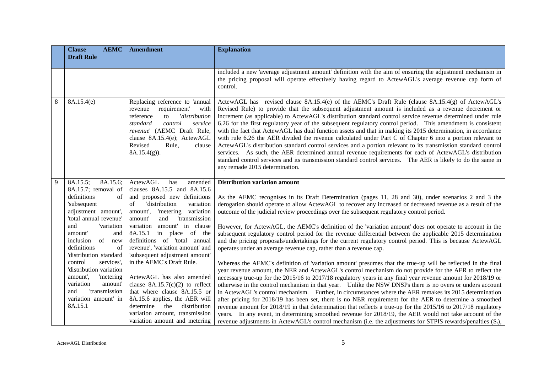|   | <b>AEMC</b><br><b>Clause</b><br><b>Draft Rule</b>                                                                                                                                                                                                                                                                                                                                                                | <b>Amendment</b>                                                                                                                                                                                                                                                                                                                                                                                                                                                                                                                                                              | <b>Explanation</b>                                                                                                                                                                                                                                                                                                                                                                                                                                                                                                                                                                                                                                                                                                                                                                                                                                                                                                                                                                                                                                                                                                                                                                                                                                                                                                                                                                                                                                                                                                                                                        |
|---|------------------------------------------------------------------------------------------------------------------------------------------------------------------------------------------------------------------------------------------------------------------------------------------------------------------------------------------------------------------------------------------------------------------|-------------------------------------------------------------------------------------------------------------------------------------------------------------------------------------------------------------------------------------------------------------------------------------------------------------------------------------------------------------------------------------------------------------------------------------------------------------------------------------------------------------------------------------------------------------------------------|---------------------------------------------------------------------------------------------------------------------------------------------------------------------------------------------------------------------------------------------------------------------------------------------------------------------------------------------------------------------------------------------------------------------------------------------------------------------------------------------------------------------------------------------------------------------------------------------------------------------------------------------------------------------------------------------------------------------------------------------------------------------------------------------------------------------------------------------------------------------------------------------------------------------------------------------------------------------------------------------------------------------------------------------------------------------------------------------------------------------------------------------------------------------------------------------------------------------------------------------------------------------------------------------------------------------------------------------------------------------------------------------------------------------------------------------------------------------------------------------------------------------------------------------------------------------------|
|   |                                                                                                                                                                                                                                                                                                                                                                                                                  |                                                                                                                                                                                                                                                                                                                                                                                                                                                                                                                                                                               | included a new 'average adjustment amount' definition with the aim of ensuring the adjustment mechanism in<br>the pricing proposal will operate effectively having regard to ActewAGL's average revenue cap form of<br>control.                                                                                                                                                                                                                                                                                                                                                                                                                                                                                                                                                                                                                                                                                                                                                                                                                                                                                                                                                                                                                                                                                                                                                                                                                                                                                                                                           |
| 8 | 8A.15.4(e)                                                                                                                                                                                                                                                                                                                                                                                                       | Replacing reference to 'annual<br>requirement'<br>with<br>revenue<br>'distribution<br>reference<br>$\mathbf{t}$<br>standard<br>control<br>service<br>revenue' (AEMC Draft Rule,<br>clause 8A.15.4(e); ActewAGL<br>Revised<br>Rule,<br>clause<br>$8A.15.4(g)$ ).                                                                                                                                                                                                                                                                                                               | ActewAGL has revised clause $8A.15.4(e)$ of the AEMC's Draft Rule (clause $8A.15.4(g)$ of ActewAGL's<br>Revised Rule) to provide that the subsequent adjustment amount is included as a revenue decrement or<br>increment (as applicable) to ActewAGL's distribution standard control service revenue determined under rule<br>6.26 for the first regulatory year of the subsequent regulatory control period. This amendment is consistent<br>with the fact that ActewAGL has dual function assets and that in making its 2015 determination, in accordance<br>with rule 6.26 the AER divided the revenue calculated under Part C of Chapter 6 into a portion relevant to<br>ActewAGL's distribution standard control services and a portion relevant to its transmission standard control<br>services. As such, the AER determined annual revenue requirements for each of ActewAGL's distribution<br>standard control services and its transmission standard control services. The AER is likely to do the same in<br>any remade 2015 determination.                                                                                                                                                                                                                                                                                                                                                                                                                                                                                                                   |
| 9 | 8A.15.5;<br>8A.15.6;<br>8A.15.7; removal of<br>definitions<br>of<br>'subsequent<br>adjustment amount',<br>'total annual revenue'<br>and<br>'variation<br>amount'<br>and<br>of<br>inclusion<br>new<br>definitions<br>of<br>'distribution standard<br>services',<br>control<br>'distribution variation<br>amount',<br>'metering<br>variation<br>amount'<br>'transmission<br>and<br>variation amount' in<br>8A.15.1 | ActewAGL<br>has<br>amended<br>clauses 8A.15.5 and 8A.15.6<br>and proposed new definitions<br>'distribution<br>variation<br>of<br>'metering variation<br>amount',<br>and<br>'transmission<br>amount'<br>amount' in clause<br>variation<br>8A.15.1<br>in place of the<br>definitions of 'total annual<br>revenue', 'variation amount' and<br>'subsequent adjustment amount'<br>in the AEMC's Draft Rule.<br>ActewAGL has also amended<br>clause $8A.15.7(c)(2)$ to reflect<br>that where clause 8A.15.5 or<br>8A.15.6 applies, the AER will<br>determine<br>the<br>distribution | <b>Distribution variation amount</b><br>As the AEMC recognises in its Draft Determination (pages 11, 28 and 30), under scenarios 2 and 3 the<br>derogation should operate to allow ActewAGL to recover any increased or decreased revenue as a result of the<br>outcome of the judicial review proceedings over the subsequent regulatory control period.<br>However, for ActewAGL, the AEMC's definition of the 'variation amount' does not operate to account in the<br>subsequent regulatory control period for the revenue differential between the applicable 2015 determination<br>and the pricing proposals/undertakings for the current regulatory control period. This is because ActewAGL<br>operates under an average revenue cap, rather than a revenue cap.<br>Whereas the AEMC's definition of 'variation amount' presumes that the true-up will be reflected in the final<br>year revenue amount, the NER and ActewAGL's control mechanism do not provide for the AER to reflect the<br>necessary true-up for the 2015/16 to 2017/18 regulatory years in any final year revenue amount for 2018/19 or<br>otherwise in the control mechanism in that year. Unlike the NSW DNSPs there is no overs or unders account<br>in ActewAGL's control mechanism. Further, in circumstances where the AER remakes its 2015 determination<br>after pricing for 2018/19 has been set, there is no NER requirement for the AER to determine a smoothed<br>revenue amount for 2018/19 in that determination that reflects a true-up for the 2015/16 to 2017/18 regulatory |
|   |                                                                                                                                                                                                                                                                                                                                                                                                                  | variation amount, transmission<br>variation amount and metering                                                                                                                                                                                                                                                                                                                                                                                                                                                                                                               | years. In any event, in determining smoothed revenue for 2018/19, the AER would not take account of the<br>revenue adjustments in ActewAGL's control mechanism (i.e. the adjustments for STPIS rewards/penalties $(S_t)$ ,                                                                                                                                                                                                                                                                                                                                                                                                                                                                                                                                                                                                                                                                                                                                                                                                                                                                                                                                                                                                                                                                                                                                                                                                                                                                                                                                                |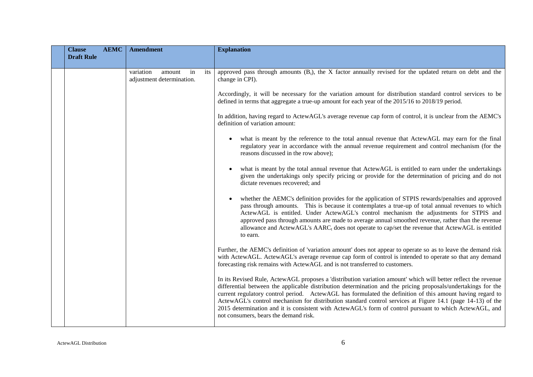| <b>Clause</b>     | <b>AEMC</b> | <b>Amendment</b>                                              | <b>Explanation</b>                                                                                                                                                                                                                                                                                                                                                                                                                                                                                                                                                                                             |
|-------------------|-------------|---------------------------------------------------------------|----------------------------------------------------------------------------------------------------------------------------------------------------------------------------------------------------------------------------------------------------------------------------------------------------------------------------------------------------------------------------------------------------------------------------------------------------------------------------------------------------------------------------------------------------------------------------------------------------------------|
| <b>Draft Rule</b> |             |                                                               |                                                                                                                                                                                                                                                                                                                                                                                                                                                                                                                                                                                                                |
|                   |             | variation<br>its<br>amount<br>in<br>adjustment determination. | approved pass through amounts $(Bi)$ , the X factor annually revised for the updated return on debt and the<br>change in CPI).                                                                                                                                                                                                                                                                                                                                                                                                                                                                                 |
|                   |             |                                                               | Accordingly, it will be necessary for the variation amount for distribution standard control services to be<br>defined in terms that aggregate a true-up amount for each year of the 2015/16 to 2018/19 period.                                                                                                                                                                                                                                                                                                                                                                                                |
|                   |             |                                                               | In addition, having regard to ActewAGL's average revenue cap form of control, it is unclear from the AEMC's<br>definition of variation amount:                                                                                                                                                                                                                                                                                                                                                                                                                                                                 |
|                   |             |                                                               | what is meant by the reference to the total annual revenue that ActewAGL may earn for the final<br>regulatory year in accordance with the annual revenue requirement and control mechanism (for the<br>reasons discussed in the row above);                                                                                                                                                                                                                                                                                                                                                                    |
|                   |             |                                                               | what is meant by the total annual revenue that ActewAGL is entitled to earn under the undertakings<br>given the undertakings only specify pricing or provide for the determination of pricing and do not<br>dictate revenues recovered; and                                                                                                                                                                                                                                                                                                                                                                    |
|                   |             |                                                               | whether the AEMC's definition provides for the application of STPIS rewards/penalties and approved<br>pass through amounts. This is because it contemplates a true-up of total annual revenues to which<br>ActewAGL is entitled. Under ActewAGL's control mechanism the adjustments for STPIS and<br>approved pass through amounts are made to average annual smoothed revenue, rather than the revenue<br>allowance and ActewAGL's AARC <sub>t</sub> does not operate to cap/set the revenue that ActewAGL is entitled<br>to earn.                                                                            |
|                   |             |                                                               | Further, the AEMC's definition of 'variation amount' does not appear to operate so as to leave the demand risk<br>with ActewAGL. ActewAGL's average revenue cap form of control is intended to operate so that any demand<br>forecasting risk remains with ActewAGL and is not transferred to customers.                                                                                                                                                                                                                                                                                                       |
|                   |             |                                                               | In its Revised Rule, ActewAGL proposes a 'distribution variation amount' which will better reflect the revenue<br>differential between the applicable distribution determination and the pricing proposals/undertakings for the<br>current regulatory control period. ActewAGL has formulated the definition of this amount having regard to<br>ActewAGL's control mechanism for distribution standard control services at Figure 14.1 (page 14-13) of the<br>2015 determination and it is consistent with ActewAGL's form of control pursuant to which ActewAGL, and<br>not consumers, bears the demand risk. |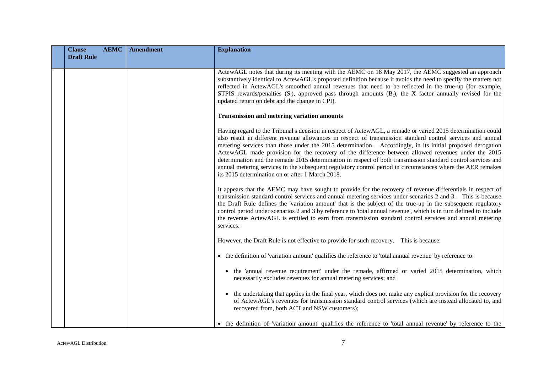| <b>Clause</b>     | <b>AEMC</b> | <b>Amendment</b> | <b>Explanation</b>                                                                                                                                                                                                                                                                                                                                                                                                                                                                                                                                                                                                                                                                                                                  |
|-------------------|-------------|------------------|-------------------------------------------------------------------------------------------------------------------------------------------------------------------------------------------------------------------------------------------------------------------------------------------------------------------------------------------------------------------------------------------------------------------------------------------------------------------------------------------------------------------------------------------------------------------------------------------------------------------------------------------------------------------------------------------------------------------------------------|
| <b>Draft Rule</b> |             |                  |                                                                                                                                                                                                                                                                                                                                                                                                                                                                                                                                                                                                                                                                                                                                     |
|                   |             |                  | ActewAGL notes that during its meeting with the AEMC on 18 May 2017, the AEMC suggested an approach<br>substantively identical to ActewAGL's proposed definition because it avoids the need to specify the matters not<br>reflected in ActewAGL's smoothed annual revenues that need to be reflected in the true-up (for example,<br>STPIS rewards/penalties $(S_t)$ , approved pass through amounts $(B_t)$ , the X factor annually revised for the<br>updated return on debt and the change in CPI).                                                                                                                                                                                                                              |
|                   |             |                  | <b>Transmission and metering variation amounts</b>                                                                                                                                                                                                                                                                                                                                                                                                                                                                                                                                                                                                                                                                                  |
|                   |             |                  | Having regard to the Tribunal's decision in respect of ActewAGL, a remade or varied 2015 determination could<br>also result in different revenue allowances in respect of transmission standard control services and annual<br>metering services than those under the 2015 determination. Accordingly, in its initial proposed derogation<br>ActewAGL made provision for the recovery of the difference between allowed revenues under the 2015<br>determination and the remade 2015 determination in respect of both transmission standard control services and<br>annual metering services in the subsequent regulatory control period in circumstances where the AER remakes<br>its 2015 determination on or after 1 March 2018. |
|                   |             |                  | It appears that the AEMC may have sought to provide for the recovery of revenue differentials in respect of<br>transmission standard control services and annual metering services under scenarios 2 and 3. This is because<br>the Draft Rule defines the 'variation amount' that is the subject of the true-up in the subsequent regulatory<br>control period under scenarios 2 and 3 by reference to 'total annual revenue', which is in turn defined to include<br>the revenue ActewAGL is entitled to earn from transmission standard control services and annual metering<br>services.                                                                                                                                         |
|                   |             |                  | However, the Draft Rule is not effective to provide for such recovery. This is because:                                                                                                                                                                                                                                                                                                                                                                                                                                                                                                                                                                                                                                             |
|                   |             |                  | • the definition of 'variation amount' qualifies the reference to 'total annual revenue' by reference to:                                                                                                                                                                                                                                                                                                                                                                                                                                                                                                                                                                                                                           |
|                   |             |                  | • the 'annual revenue requirement' under the remade, affirmed or varied 2015 determination, which<br>necessarily excludes revenues for annual metering services; and                                                                                                                                                                                                                                                                                                                                                                                                                                                                                                                                                                |
|                   |             |                  | • the undertaking that applies in the final year, which does not make any explicit provision for the recovery<br>of ActewAGL's revenues for transmission standard control services (which are instead allocated to, and<br>recovered from, both ACT and NSW customers);                                                                                                                                                                                                                                                                                                                                                                                                                                                             |
|                   |             |                  | • the definition of 'variation amount' qualifies the reference to 'total annual revenue' by reference to the                                                                                                                                                                                                                                                                                                                                                                                                                                                                                                                                                                                                                        |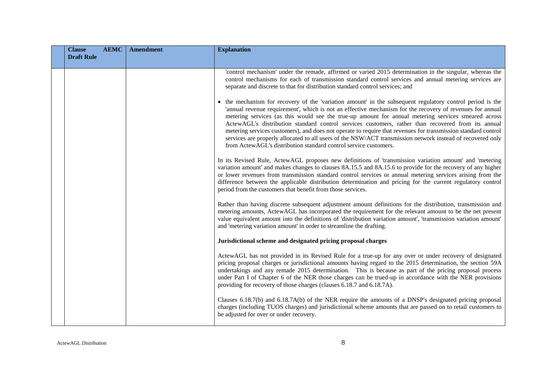| <b>Clause</b>     | <b>AEMC</b> | <b>Amendment</b> | <b>Explanation</b>                                                                                                                                                                                                                                                                                                                                                                                                                                                                                                                                                                                                                                                                                                                     |
|-------------------|-------------|------------------|----------------------------------------------------------------------------------------------------------------------------------------------------------------------------------------------------------------------------------------------------------------------------------------------------------------------------------------------------------------------------------------------------------------------------------------------------------------------------------------------------------------------------------------------------------------------------------------------------------------------------------------------------------------------------------------------------------------------------------------|
| <b>Draft Rule</b> |             |                  |                                                                                                                                                                                                                                                                                                                                                                                                                                                                                                                                                                                                                                                                                                                                        |
|                   |             |                  | 'control mechanism' under the remade, affirmed or varied 2015 determination in the singular, whereas the<br>control mechanisms for each of transmission standard control services and annual metering services are<br>separate and discrete to that for distribution standard control services; and                                                                                                                                                                                                                                                                                                                                                                                                                                    |
|                   |             |                  | • the mechanism for recovery of the 'variation amount' in the subsequent regulatory control period is the<br>'annual revenue requirement', which is not an effective mechanism for the recovery of revenues for annual<br>metering services (as this would see the true-up amount for annual metering services smeared across<br>ActewAGL's distribution standard control services customers, rather than recovered from its annual<br>metering services customers), and does not operate to require that revenues for transmission standard control<br>services are properly allocated to all users of the NSW/ACT transmission network instead of recovered only<br>from ActewAGL's distribution standard control service customers. |
|                   |             |                  | In its Revised Rule, ActewAGL proposes new definitions of 'transmission variation amount' and 'metering<br>variation amount' and makes changes to clauses 8A.15.5 and 8A.15.6 to provide for the recovery of any higher<br>or lower revenues from transmission standard control services or annual metering services arising from the<br>difference between the applicable distribution determination and pricing for the current regulatory control<br>period from the customers that benefit from those services.                                                                                                                                                                                                                    |
|                   |             |                  | Rather than having discrete subsequent adjustment amount definitions for the distribution, transmission and<br>metering amounts, ActewAGL has incorporated the requirement for the relevant amount to be the net present<br>value equivalent amount into the definitions of 'distribution variation amount', 'transmission variation amount'<br>and 'metering variation amount' in order to streamline the drafting.                                                                                                                                                                                                                                                                                                                   |
|                   |             |                  | Jurisdictional scheme and designated pricing proposal charges                                                                                                                                                                                                                                                                                                                                                                                                                                                                                                                                                                                                                                                                          |
|                   |             |                  | ActewAGL has not provided in its Revised Rule for a true-up for any over or under recovery of designated<br>pricing proposal charges or jurisdictional amounts having regard to the 2015 determination, the section 59A<br>undertakings and any remade 2015 determination. This is because as part of the pricing proposal process<br>under Part I of Chapter 6 of the NER those charges can be trued-up in accordance with the NER provisions<br>providing for recovery of those charges (clauses 6.18.7 and 6.18.7A).                                                                                                                                                                                                                |
|                   |             |                  | Clauses 6.18.7(b) and 6.18.7A(b) of the NER require the amounts of a DNSP's designated pricing proposal<br>charges (including TUOS charges) and jurisdictional scheme amounts that are passed on to retail customers to<br>be adjusted for over or under recovery.                                                                                                                                                                                                                                                                                                                                                                                                                                                                     |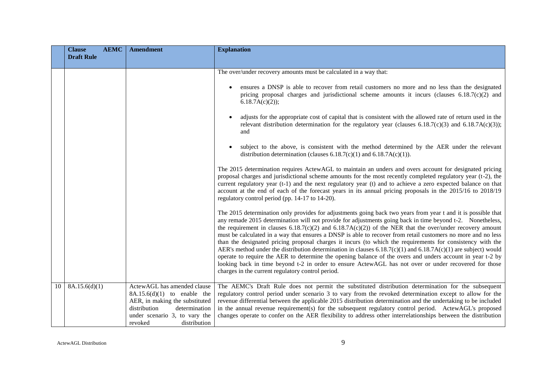|    | <b>Clause</b><br><b>AEMC</b> | <b>Amendment</b>                                                                                                                                                                            | <b>Explanation</b>                                                                                                                                                                                                                                                                                                                                                                                                                                                                                                                                                                                                                                                                                                                                                                                                                                                                                                                                                      |
|----|------------------------------|---------------------------------------------------------------------------------------------------------------------------------------------------------------------------------------------|-------------------------------------------------------------------------------------------------------------------------------------------------------------------------------------------------------------------------------------------------------------------------------------------------------------------------------------------------------------------------------------------------------------------------------------------------------------------------------------------------------------------------------------------------------------------------------------------------------------------------------------------------------------------------------------------------------------------------------------------------------------------------------------------------------------------------------------------------------------------------------------------------------------------------------------------------------------------------|
|    | <b>Draft Rule</b>            |                                                                                                                                                                                             |                                                                                                                                                                                                                                                                                                                                                                                                                                                                                                                                                                                                                                                                                                                                                                                                                                                                                                                                                                         |
|    |                              |                                                                                                                                                                                             | The over/under recovery amounts must be calculated in a way that:                                                                                                                                                                                                                                                                                                                                                                                                                                                                                                                                                                                                                                                                                                                                                                                                                                                                                                       |
|    |                              |                                                                                                                                                                                             |                                                                                                                                                                                                                                                                                                                                                                                                                                                                                                                                                                                                                                                                                                                                                                                                                                                                                                                                                                         |
|    |                              |                                                                                                                                                                                             | ensures a DNSP is able to recover from retail customers no more and no less than the designated<br>pricing proposal charges and jurisdictional scheme amounts it incurs (clauses $6.18.7(c)(2)$ and<br>6.18.7A(c)(2);                                                                                                                                                                                                                                                                                                                                                                                                                                                                                                                                                                                                                                                                                                                                                   |
|    |                              |                                                                                                                                                                                             | adjusts for the appropriate cost of capital that is consistent with the allowed rate of return used in the<br>$\bullet$<br>relevant distribution determination for the regulatory year (clauses $6.18.7(c)(3)$ and $6.18.7A(c)(3)$ );<br>and                                                                                                                                                                                                                                                                                                                                                                                                                                                                                                                                                                                                                                                                                                                            |
|    |                              |                                                                                                                                                                                             | subject to the above, is consistent with the method determined by the AER under the relevant<br>distribution determination (clauses $6.18.7(c)(1)$ and $6.18.7A(c)(1)$ ).                                                                                                                                                                                                                                                                                                                                                                                                                                                                                                                                                                                                                                                                                                                                                                                               |
|    |                              |                                                                                                                                                                                             | The 2015 determination requires ActewAGL to maintain an unders and overs account for designated pricing<br>proposal charges and jurisdictional scheme amounts for the most recently completed regulatory year (t-2), the<br>current regulatory year (t-1) and the next regulatory year (t) and to achieve a zero expected balance on that<br>account at the end of each of the forecast years in its annual pricing proposals in the 2015/16 to 2018/19<br>regulatory control period (pp. 14-17 to 14-20).                                                                                                                                                                                                                                                                                                                                                                                                                                                              |
|    |                              |                                                                                                                                                                                             | The 2015 determination only provides for adjustments going back two years from year t and it is possible that<br>any remade 2015 determination will not provide for adjustments going back in time beyond t-2. Nonetheless,<br>the requirement in clauses $6.18.7(c)(2)$ and $6.18.7A(c)(2)$ of the NER that the over/under recovery amount<br>must be calculated in a way that ensures a DNSP is able to recover from retail customers no more and no less<br>than the designated pricing proposal charges it incurs (to which the requirements for consistency with the<br>AER's method under the distribution determination in clauses 6.18.7(c)(1) and 6.18.7A(c)(1) are subject) would<br>operate to require the AER to determine the opening balance of the overs and unders account in year t-2 by<br>looking back in time beyond t-2 in order to ensure ActewAGL has not over or under recovered for those<br>charges in the current regulatory control period. |
| 10 | 8A.15.6(d)(1)                | ActewAGL has amended clause<br>$8A.15.6(d)(1)$ to enable the<br>AER, in making the substituted<br>distribution<br>determination<br>under scenario 3, to vary the<br>revoked<br>distribution | The AEMC's Draft Rule does not permit the substituted distribution determination for the subsequent<br>regulatory control period under scenario 3 to vary from the revoked determination except to allow for the<br>revenue differential between the applicable 2015 distribution determination and the undertaking to be included<br>in the annual revenue requirement(s) for the subsequent regulatory control period. ActewAGL's proposed<br>changes operate to confer on the AER flexibility to address other interrelationships between the distribution                                                                                                                                                                                                                                                                                                                                                                                                           |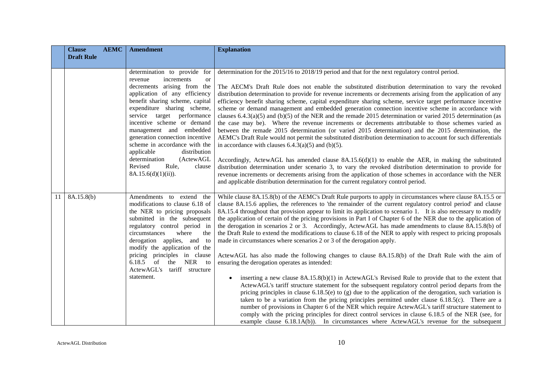|               | <b>Clause</b><br><b>AEMC</b> | <b>Amendment</b>                                                                                                                                                                                                                                                                                                                                                                                  | <b>Explanation</b>                                                                                                                                                                                                                                                                                                                                                                                                                                                                                                                                                                                                                                                                                                                                                                                                                                                                                                                                                                                                                                              |
|---------------|------------------------------|---------------------------------------------------------------------------------------------------------------------------------------------------------------------------------------------------------------------------------------------------------------------------------------------------------------------------------------------------------------------------------------------------|-----------------------------------------------------------------------------------------------------------------------------------------------------------------------------------------------------------------------------------------------------------------------------------------------------------------------------------------------------------------------------------------------------------------------------------------------------------------------------------------------------------------------------------------------------------------------------------------------------------------------------------------------------------------------------------------------------------------------------------------------------------------------------------------------------------------------------------------------------------------------------------------------------------------------------------------------------------------------------------------------------------------------------------------------------------------|
|               | <b>Draft Rule</b>            |                                                                                                                                                                                                                                                                                                                                                                                                   |                                                                                                                                                                                                                                                                                                                                                                                                                                                                                                                                                                                                                                                                                                                                                                                                                                                                                                                                                                                                                                                                 |
|               |                              | determination to provide for<br>increments<br>revenue<br><sub>or</sub><br>decrements arising from the<br>application of any efficiency<br>benefit sharing scheme, capital<br>expenditure sharing scheme,<br>service target performance<br>incentive scheme or demand<br>management and embedded<br>generation connection incentive<br>scheme in accordance with the<br>applicable<br>distribution | determination for the 2015/16 to 2018/19 period and that for the next regulatory control period.<br>The AECM's Draft Rule does not enable the substituted distribution determination to vary the revoked<br>distribution determination to provide for revenue increments or decrements arising from the application of any<br>efficiency benefit sharing scheme, capital expenditure sharing scheme, service target performance incentive<br>scheme or demand management and embedded generation connection incentive scheme in accordance with<br>clauses $6.4.3(a)(5)$ and (b)(5) of the NER and the remade 2015 determination or varied 2015 determination (as<br>the case may be). Where the revenue increments or decrements attributable to those schemes varied as<br>between the remade 2015 determination (or varied 2015 determination) and the 2015 determination, the<br>AEMC's Draft Rule would not permit the substituted distribution determination to account for such differentials<br>in accordance with clauses $6.4.3(a)(5)$ and $(b)(5)$ . |
|               |                              | determination<br>(ActewAGL<br>Revised<br>Rule,<br>clause<br>$8A.15.6(d)(1)(ii)$ .                                                                                                                                                                                                                                                                                                                 | Accordingly, ActewAGL has amended clause $8A.15.6(d)(1)$ to enable the AER, in making the substituted<br>distribution determination under scenario 3, to vary the revoked distribution determination to provide for<br>revenue increments or decrements arising from the application of those schemes in accordance with the NER<br>and applicable distribution determination for the current regulatory control period.                                                                                                                                                                                                                                                                                                                                                                                                                                                                                                                                                                                                                                        |
| <sup>11</sup> | 8A.15.8(b)                   | Amendments to extend<br>the<br>modifications to clause 6.18 of<br>the NER to pricing proposals<br>submitted in the subsequent<br>regulatory control period in<br>circumstances<br>where<br>the<br>derogation applies, and to<br>modify the application of the<br>pricing principles in clause<br>of<br>the NER to<br>6.18.5<br>ActewAGL's<br>tariff structure                                     | While clause 8A.15.8(b) of the AEMC's Draft Rule purports to apply in circumstances where clause 8A.15.5 or<br>clause 8A.15.6 applies, the references to 'the remainder of the current regulatory control period' and clause<br>8A.15.4 throughout that provision appear to limit its application to scenario 1. It is also necessary to modify<br>the application of certain of the pricing provisions in Part I of Chapter 6 of the NER due to the application of<br>the derogation in scenarios 2 or 3. Accordingly, ActewAGL has made amendments to clause 8A.15.8(b) of<br>the Draft Rule to extend the modifications to clause 6.18 of the NER to apply with respect to pricing proposals<br>made in circumstances where scenarios 2 or 3 of the derogation apply.<br>ActewAGL has also made the following changes to clause 8A.15.8(b) of the Draft Rule with the aim of<br>ensuring the derogation operates as intended:                                                                                                                                |
|               |                              | statement.                                                                                                                                                                                                                                                                                                                                                                                        | inserting a new clause $8A.15.8(b)(1)$ in ActewAGL's Revised Rule to provide that to the extent that<br>ActewAGL's tariff structure statement for the subsequent regulatory control period departs from the<br>pricing principles in clause $6.18.5(e)$ to (g) due to the application of the derogation, such variation is<br>taken to be a variation from the pricing principles permitted under clause 6.18.5(c). There are a<br>number of provisions in Chapter 6 of the NER which require ActewAGL's tariff structure statement to<br>comply with the pricing principles for direct control services in clause 6.18.5 of the NER (see, for<br>example clause 6.18.1A(b)). In circumstances where ActewAGL's revenue for the subsequent                                                                                                                                                                                                                                                                                                                      |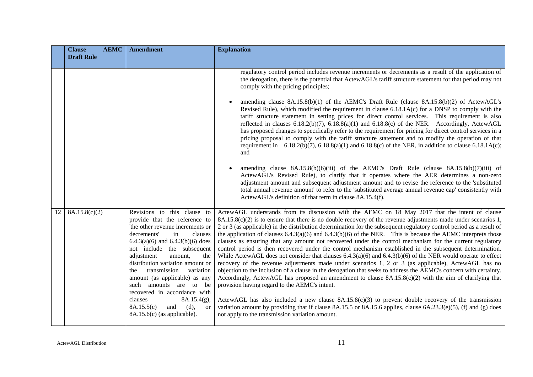|    | <b>Clause</b><br><b>AEMC</b> | <b>Amendment</b>                                                                                                                                                                                                                                                                                                                                                                                                                          | <b>Explanation</b>                                                                                                                                                                                                                                                                                                                                                                                                                                                                                                                                                                                                                                                                                                                                                                                                                                                                                                                                                                                                                                                                                                                                                                                                                                                                                               |
|----|------------------------------|-------------------------------------------------------------------------------------------------------------------------------------------------------------------------------------------------------------------------------------------------------------------------------------------------------------------------------------------------------------------------------------------------------------------------------------------|------------------------------------------------------------------------------------------------------------------------------------------------------------------------------------------------------------------------------------------------------------------------------------------------------------------------------------------------------------------------------------------------------------------------------------------------------------------------------------------------------------------------------------------------------------------------------------------------------------------------------------------------------------------------------------------------------------------------------------------------------------------------------------------------------------------------------------------------------------------------------------------------------------------------------------------------------------------------------------------------------------------------------------------------------------------------------------------------------------------------------------------------------------------------------------------------------------------------------------------------------------------------------------------------------------------|
|    | <b>Draft Rule</b>            |                                                                                                                                                                                                                                                                                                                                                                                                                                           |                                                                                                                                                                                                                                                                                                                                                                                                                                                                                                                                                                                                                                                                                                                                                                                                                                                                                                                                                                                                                                                                                                                                                                                                                                                                                                                  |
|    |                              |                                                                                                                                                                                                                                                                                                                                                                                                                                           | regulatory control period includes revenue increments or decrements as a result of the application of<br>the derogation, there is the potential that ActewAGL's tariff structure statement for that period may not<br>comply with the pricing principles;                                                                                                                                                                                                                                                                                                                                                                                                                                                                                                                                                                                                                                                                                                                                                                                                                                                                                                                                                                                                                                                        |
|    |                              |                                                                                                                                                                                                                                                                                                                                                                                                                                           | amending clause $8A.15.8(b)(1)$ of the AEMC's Draft Rule (clause $8A.15.8(b)(2)$ of ActewAGL's<br>Revised Rule), which modified the requirement in clause 6.18.1A(c) for a DNSP to comply with the<br>tariff structure statement in setting prices for direct control services. This requirement is also<br>reflected in clauses $6.18.2(b)(7)$ , $6.18.8(a)(1)$ and $6.18.8(c)$ of the NER. Accordingly, ActewAGL<br>has proposed changes to specifically refer to the requirement for pricing for direct control services in a<br>pricing proposal to comply with the tariff structure statement and to modify the operation of that<br>requirement in $6.18.2(b)(7)$ , $6.18.8(a)(1)$ and $6.18.8(c)$ of the NER, in addition to clause $6.18.1A(c)$ ;<br>and                                                                                                                                                                                                                                                                                                                                                                                                                                                                                                                                                 |
|    |                              |                                                                                                                                                                                                                                                                                                                                                                                                                                           | amending clause $8A.15.8(b)(6)(iii)$ of the AEMC's Draft Rule (clause $8A.15.8(b)(7)(iii)$ of<br>ActewAGL's Revised Rule), to clarify that it operates where the AER determines a non-zero<br>adjustment amount and subsequent adjustment amount and to revise the reference to the 'substituted<br>total annual revenue amount' to refer to the 'substituted average annual revenue cap' consistently with<br>ActewAGL's definition of that term in clause 8A.15.4(f).                                                                                                                                                                                                                                                                                                                                                                                                                                                                                                                                                                                                                                                                                                                                                                                                                                          |
| 12 | 8A.15.8(c)(2)                | Revisions to this clause to<br>provide that the reference to<br>'the other revenue increments or<br>decrements'<br>in<br>clauses<br>$6.4.3(a)(6)$ and $6.4.3(b)(6)$ does<br>not include the subsequent<br>adjustment<br>the<br>amount.<br>distribution variation amount or<br>transmission<br>variation<br>the<br>amount (as applicable) as any<br>amounts are to<br>be<br>such<br>recovered in accordance with<br>clauses<br>8A.15.4(g), | ActewAGL understands from its discussion with the AEMC on 18 May 2017 that the intent of clause<br>$8A.15.8(c)(2)$ is to ensure that there is no double recovery of the revenue adjustments made under scenarios 1,<br>2 or 3 (as applicable) in the distribution determination for the subsequent regulatory control period as a result of<br>the application of clauses $6.4.3(a)(6)$ and $6.4.3(b)(6)$ of the NER. This is because the AEMC interprets those<br>clauses as ensuring that any amount not recovered under the control mechanism for the current regulatory<br>control period is then recovered under the control mechanism established in the subsequent determination.<br>While ActewAGL does not consider that clauses $6.4.3(a)(6)$ and $6.4.3(b)(6)$ of the NER would operate to effect<br>recovery of the revenue adjustments made under scenarios 1, 2 or 3 (as applicable), ActewAGL has no<br>objection to the inclusion of a clause in the derogation that seeks to address the AEMC's concern with certainty.<br>Accordingly, ActewAGL has proposed an amendment to clause $8A.15.8(c)(2)$ with the aim of clarifying that<br>provision having regard to the AEMC's intent.<br>ActewAGL has also included a new clause $8A.15.8(c)(3)$ to prevent double recovery of the transmission |
|    |                              | 8A.15.5(c)<br>(d),<br>and<br><b>or</b><br>$8A.15.6(c)$ (as applicable).                                                                                                                                                                                                                                                                                                                                                                   | variation amount by providing that if clause 8A.15.5 or 8A.15.6 applies, clause $6A.23.3(e)(5)$ , (f) and (g) does<br>not apply to the transmission variation amount.                                                                                                                                                                                                                                                                                                                                                                                                                                                                                                                                                                                                                                                                                                                                                                                                                                                                                                                                                                                                                                                                                                                                            |